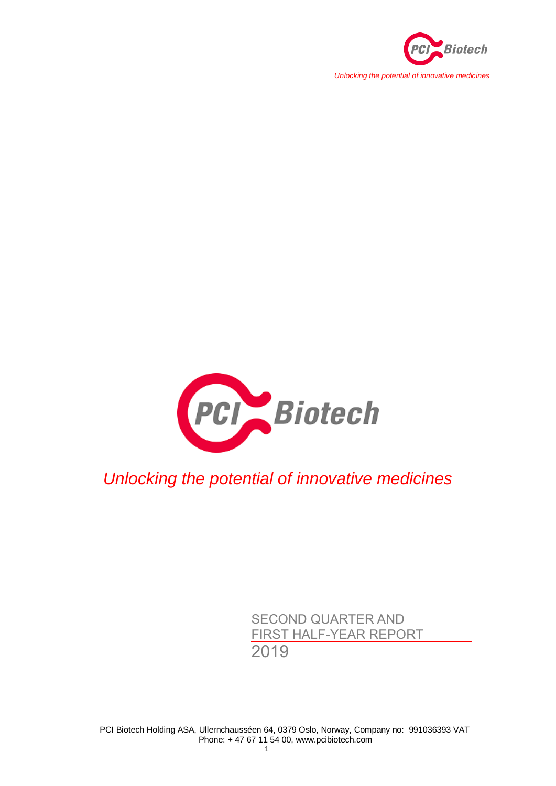



# *Unlocking the potential of innovative medicines*

SECOND QUARTER AND FIRST HALF-YEAR REPORT 2019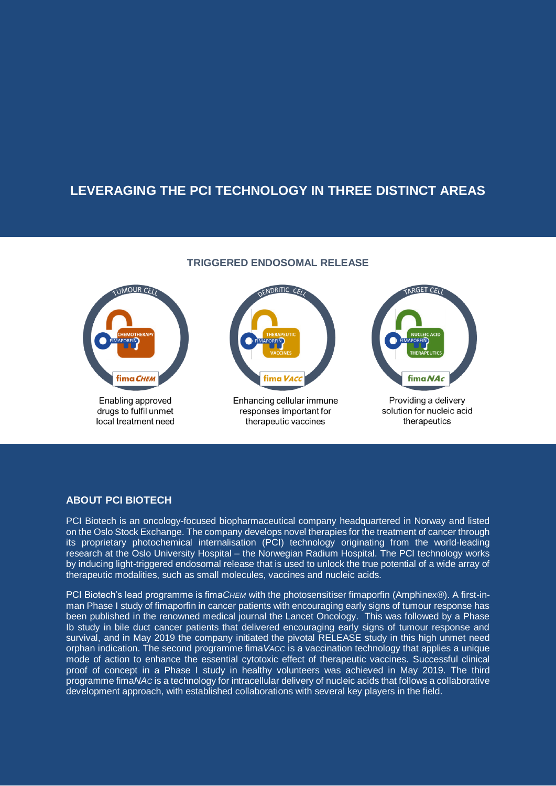## **LEVERAGING THE PCI TECHNOLOGY IN THREE DISTINCT AREAS**



## **TRIGGERED ENDOSOMAL RELEASE**

## **ABOUT PCI BIOTECH**

PCI Biotech is an oncology-focused biopharmaceutical company headquartered in Norway and listed on the Oslo Stock Exchange. The company develops novel therapies for the treatment of cancer through its proprietary photochemical internalisation (PCI) technology originating from the world-leading research at the Oslo University Hospital – the Norwegian Radium Hospital. The PCI technology works by inducing light-triggered endosomal release that is used to unlock the true potential of a wide array of therapeutic modalities, such as small molecules, vaccines and nucleic acids.

PCI Biotech's lead programme is fima*CHEM* with the photosensitiser fimaporfin (Amphinex®). A first-inman Phase I study of fimaporfin in cancer patients with encouraging early signs of tumour response has been published in the renowned medical journal the Lancet Oncology. This was followed by a Phase Ib study in bile duct cancer patients that delivered encouraging early signs of tumour response and survival, and in May 2019 the company initiated the pivotal RELEASE study in this high unmet need orphan indication. The second programme fima*VACC* is a vaccination technology that applies a unique mode of action to enhance the essential cytotoxic effect of therapeutic vaccines. Successful clinical proof of concept in a Phase I study in healthy volunteers was achieved in May 2019. The third programme fima*NAC* is a technology for intracellular delivery of nucleic acids that follows a collaborative development approach, with established collaborations with several key players in the field.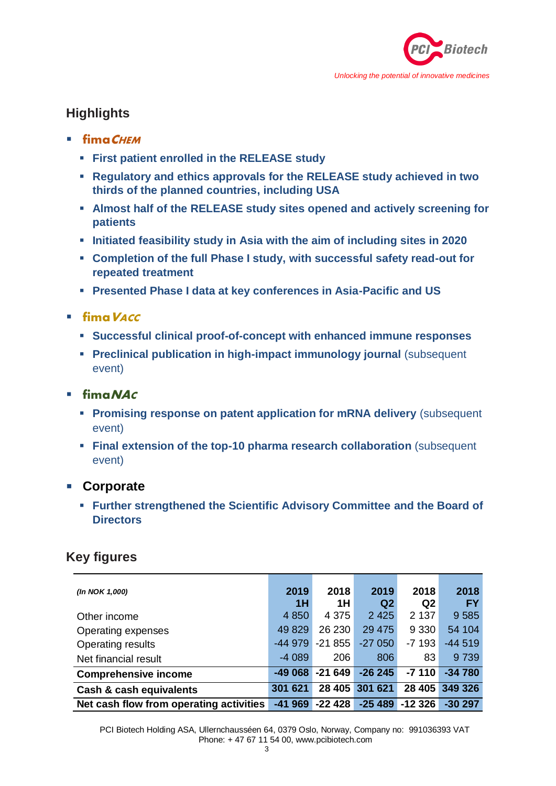

## **Highlights**

- **fima<sup>C</sup>HEM**
	- **First patient enrolled in the RELEASE study**
	- **Regulatory and ethics approvals for the RELEASE study achieved in two thirds of the planned countries, including USA**
	- **Almost half of the RELEASE study sites opened and actively screening for patients**
	- **Initiated feasibility study in Asia with the aim of including sites in 2020**
	- **Completion of the full Phase I study, with successful safety read-out for repeated treatment**
	- **Presented Phase I data at key conferences in Asia-Pacific and US**
- **fima<sup>V</sup>ACC**
	- **Successful clinical proof-of-concept with enhanced immune responses**
	- **Preclinical publication in high-impact immunology journal (subsequent)** event)

## **fimaNA<sup>C</sup>**

- **Promising response on patent application for mRNA delivery** (subsequent event)
- **Final extension of the top-10 pharma research collaboration** (subsequent event)

## **Corporate**

 **Further strengthened the Scientific Advisory Committee and the Board of Directors**

## **Key figures**

| (In NOK 1,000)                          | 2019     | 2018     | 2019           | 2018           | 2018           |
|-----------------------------------------|----------|----------|----------------|----------------|----------------|
|                                         | 1H       | 1H       | Q <sub>2</sub> | Q <sub>2</sub> | <b>FY</b>      |
| Other income                            | 4 8 5 0  | 4 3 7 5  | 2 4 2 5        | 2 1 3 7        | 9585           |
| Operating expenses                      | 49 829   | 26 230   | 29 4 7 5       | 9 3 3 0        | 54 104         |
| Operating results                       | -44 979  | $-21855$ | $-27050$       | $-7193$        | $-44519$       |
| Net financial result                    | $-4089$  | 206      | 806            | 83             | 9739           |
| <b>Comprehensive income</b>             | $-49068$ | $-21649$ | $-26\,245$     | -7 110         | $-34780$       |
| Cash & cash equivalents                 | 301 621  | 28 4 05  | 301 621        |                | 28 405 349 326 |
| Net cash flow from operating activities | $-41969$ | $-22428$ | $-25489$       | $-12326$       | $-30297$       |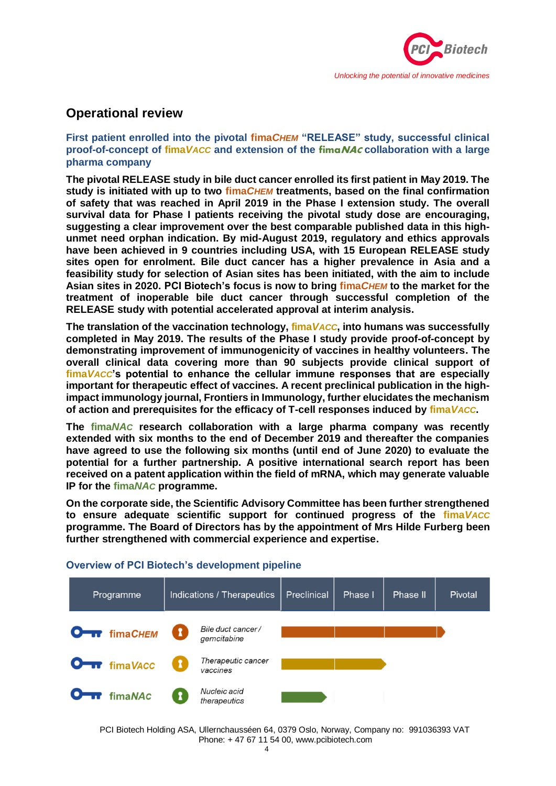

## **Operational review**

First patient enrolled into the pivotal fima CHEM "RELEASE" study, successful clinical **proof-of-concept of fima***VACC* **and extension of the fimaNA<sup>C</sup> collaboration with a large pharma company**

**The pivotal RELEASE study in bile duct cancer enrolled its first patient in May 2019. The study is initiated with up to two fima***CHEM* **treatments, based on the final confirmation of safety that was reached in April 2019 in the Phase I extension study. The overall survival data for Phase I patients receiving the pivotal study dose are encouraging, suggesting a clear improvement over the best comparable published data in this highunmet need orphan indication. By mid-August 2019, regulatory and ethics approvals have been achieved in 9 countries including USA, with 15 European RELEASE study sites open for enrolment. Bile duct cancer has a higher prevalence in Asia and a feasibility study for selection of Asian sites has been initiated, with the aim to include Asian sites in 2020. PCI Biotech's focus is now to bring fima***CHEM* **to the market for the treatment of inoperable bile duct cancer through successful completion of the RELEASE study with potential accelerated approval at interim analysis.**

**The translation of the vaccination technology, fima***VACC***, into humans was successfully completed in May 2019. The results of the Phase I study provide proof-of-concept by demonstrating improvement of immunogenicity of vaccines in healthy volunteers. The overall clinical data covering more than 90 subjects provide clinical support of fima***VACC***'s potential to enhance the cellular immune responses that are especially important for therapeutic effect of vaccines. A recent preclinical publication in the highimpact immunology journal, Frontiers in Immunology, further elucidates the mechanism of action and prerequisites for the efficacy of T-cell responses induced by fima***VACC***.**

**The fima***NAC* **research collaboration with a large pharma company was recently extended with six months to the end of December 2019 and thereafter the companies have agreed to use the following six months (until end of June 2020) to evaluate the potential for a further partnership. A positive international search report has been received on a patent application within the field of mRNA, which may generate valuable IP for the fima***NAC* **programme.**

**On the corporate side, the Scientific Advisory Committee has been further strengthened to ensure adequate scientific support for continued progress of the fima***VACC* **programme. The Board of Directors has by the appointment of Mrs Hilde Furberg been further strengthened with commercial experience and expertise.**



## **Overview of PCI Biotech's development pipeline**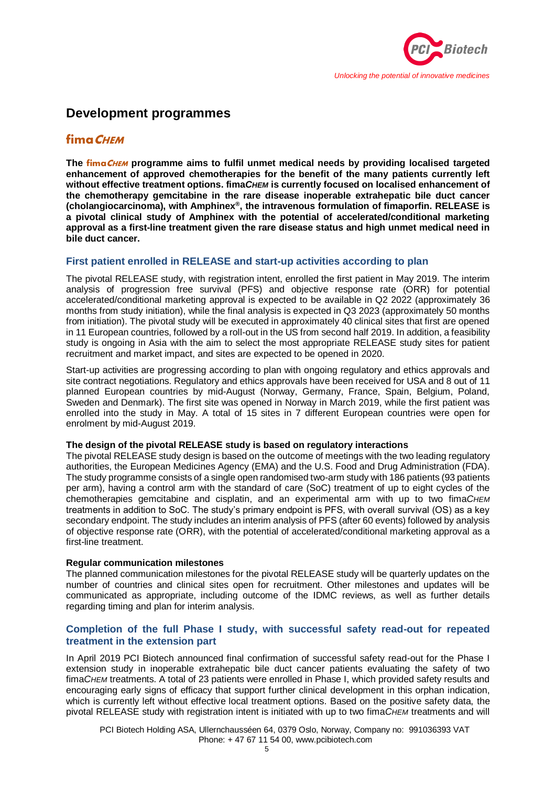

## **Development programmes**

## **fima<sup>C</sup>HEM**

The **fima CHEM** programme aims to fulfil unmet medical needs by providing localised targeted **enhancement of approved chemotherapies for the benefit of the many patients currently left without effective treatment options. fima***CHEM* **is currently focused on localised enhancement of the chemotherapy gemcitabine in the rare disease inoperable extrahepatic bile duct cancer (cholangiocarcinoma), with Amphinex® , the intravenous formulation of fimaporfin. RELEASE is a pivotal clinical study of Amphinex with the potential of accelerated/conditional marketing approval as a first-line treatment given the rare disease status and high unmet medical need in bile duct cancer.**

## **First patient enrolled in RELEASE and start-up activities according to plan**

The pivotal RELEASE study, with registration intent, enrolled the first patient in May 2019. The interim analysis of progression free survival (PFS) and objective response rate (ORR) for potential accelerated/conditional marketing approval is expected to be available in Q2 2022 (approximately 36 months from study initiation), while the final analysis is expected in Q3 2023 (approximately 50 months from initiation). The pivotal study will be executed in approximately 40 clinical sites that first are opened in 11 European countries, followed by a roll-out in the US from second half 2019. In addition, a feasibility study is ongoing in Asia with the aim to select the most appropriate RELEASE study sites for patient recruitment and market impact, and sites are expected to be opened in 2020.

Start-up activities are progressing according to plan with ongoing regulatory and ethics approvals and site contract negotiations. Regulatory and ethics approvals have been received for USA and 8 out of 11 planned European countries by mid-August (Norway, Germany, France, Spain, Belgium, Poland, Sweden and Denmark). The first site was opened in Norway in March 2019, while the first patient was enrolled into the study in May. A total of 15 sites in 7 different European countries were open for enrolment by mid-August 2019.

## **The design of the pivotal RELEASE study is based on regulatory interactions**

The pivotal RELEASE study design is based on the outcome of meetings with the two leading regulatory authorities, the European Medicines Agency (EMA) and the U.S. Food and Drug Administration (FDA). The study programme consists of a single open randomised two-arm study with 186 patients (93 patients per arm), having a control arm with the standard of care (SoC) treatment of up to eight cycles of the chemotherapies gemcitabine and cisplatin, and an experimental arm with up to two fima*CHEM* treatments in addition to SoC. The study's primary endpoint is PFS, with overall survival (OS) as a key secondary endpoint. The study includes an interim analysis of PFS (after 60 events) followed by analysis of objective response rate (ORR), with the potential of accelerated/conditional marketing approval as a first-line treatment.

## **Regular communication milestones**

The planned communication milestones for the pivotal RELEASE study will be quarterly updates on the number of countries and clinical sites open for recruitment. Other milestones and updates will be communicated as appropriate, including outcome of the IDMC reviews, as well as further details regarding timing and plan for interim analysis.

## **Completion of the full Phase I study, with successful safety read-out for repeated treatment in the extension part**

In April 2019 PCI Biotech announced final confirmation of successful safety read-out for the Phase I extension study in inoperable extrahepatic bile duct cancer patients evaluating the safety of two fima*CHEM* treatments. A total of 23 patients were enrolled in Phase I, which provided safety results and encouraging early signs of efficacy that support further clinical development in this orphan indication, which is currently left without effective local treatment options. Based on the positive safety data, the pivotal RELEASE study with registration intent is initiated with up to two fima*CHEM* treatments and will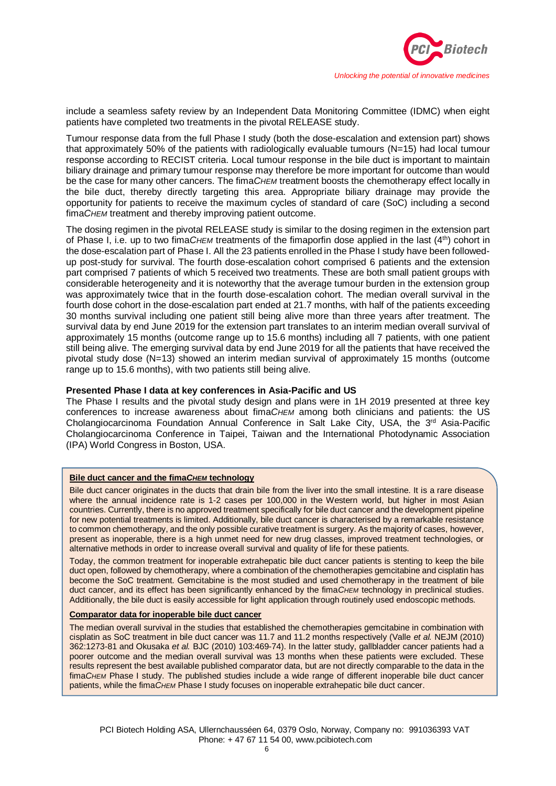

include a seamless safety review by an Independent Data Monitoring Committee (IDMC) when eight patients have completed two treatments in the pivotal RELEASE study.

Tumour response data from the full Phase I study (both the dose-escalation and extension part) shows that approximately 50% of the patients with radiologically evaluable tumours (N=15) had local tumour response according to RECIST criteria. Local tumour response in the bile duct is important to maintain biliary drainage and primary tumour response may therefore be more important for outcome than would be the case for many other cancers. The fima*CHEM* treatment boosts the chemotherapy effect locally in the bile duct, thereby directly targeting this area. Appropriate biliary drainage may provide the opportunity for patients to receive the maximum cycles of standard of care (SoC) including a second fima*CHEM* treatment and thereby improving patient outcome.

The dosing regimen in the pivotal RELEASE study is similar to the dosing regimen in the extension part of Phase I, i.e. up to two fima*CHEM* treatments of the fimaporfin dose applied in the last (4th) cohort in the dose-escalation part of Phase I. All the 23 patients enrolled in the Phase I study have been followedup post-study for survival. The fourth dose-escalation cohort comprised 6 patients and the extension part comprised 7 patients of which 5 received two treatments. These are both small patient groups with considerable heterogeneity and it is noteworthy that the average tumour burden in the extension group was approximately twice that in the fourth dose-escalation cohort. The median overall survival in the fourth dose cohort in the dose-escalation part ended at 21.7 months, with half of the patients exceeding 30 months survival including one patient still being alive more than three years after treatment. The survival data by end June 2019 for the extension part translates to an interim median overall survival of approximately 15 months (outcome range up to 15.6 months) including all 7 patients, with one patient still being alive. The emerging survival data by end June 2019 for all the patients that have received the pivotal study dose (N=13) showed an interim median survival of approximately 15 months (outcome range up to 15.6 months), with two patients still being alive.

### **Presented Phase I data at key conferences in Asia-Pacific and US**

The Phase I results and the pivotal study design and plans were in 1H 2019 presented at three key conferences to increase awareness about fima*CHEM* among both clinicians and patients: the US Cholangiocarcinoma Foundation Annual Conference in Salt Lake City, USA, the 3<sup>rd</sup> Asia-Pacific Cholangiocarcinoma Conference in Taipei, Taiwan and the International Photodynamic Association (IPA) World Congress in Boston, USA.

### **Bile duct cancer and the fima***CHEM* **technology**

Bile duct cancer originates in the ducts that drain bile from the liver into the small intestine. It is a rare disease where the annual incidence rate is 1-2 cases per 100,000 in the Western world, but higher in most Asian countries. Currently, there is no approved treatment specifically for bile duct cancer and the development pipeline for new potential treatments is limited. Additionally, bile duct cancer is characterised by a remarkable resistance to common chemotherapy, and the only possible curative treatment is surgery. As the majority of cases, however, present as inoperable, there is a high unmet need for new drug classes, improved treatment technologies, or alternative methods in order to increase overall survival and quality of life for these patients.

Today, the common treatment for inoperable extrahepatic bile duct cancer patients is stenting to keep the bile duct open, followed by chemotherapy, where a combination of the chemotherapies gemcitabine and cisplatin has become the SoC treatment. Gemcitabine is the most studied and used chemotherapy in the treatment of bile duct cancer, and its effect has been significantly enhanced by the fima*CHEM* technology in preclinical studies. Additionally, the bile duct is easily accessible for light application through routinely used endoscopic methods.

#### **Comparator data for inoperable bile duct cancer**

The median overall survival in the studies that established the chemotherapies gemcitabine in combination with cisplatin as SoC treatment in bile duct cancer was 11.7 and 11.2 months respectively (Valle *et al.* NEJM (2010) 362:1273-81 and Okusaka *et al.* BJC (2010) 103:469-74). In the latter study, gallbladder cancer patients had a poorer outcome and the median overall survival was 13 months when these patients were excluded. These results represent the best available published comparator data, but are not directly comparable to the data in the fima*CHEM* Phase I study. The published studies include a wide range of different inoperable bile duct cancer patients, while the fima*CHEM* Phase I study focuses on inoperable extrahepatic bile duct cancer.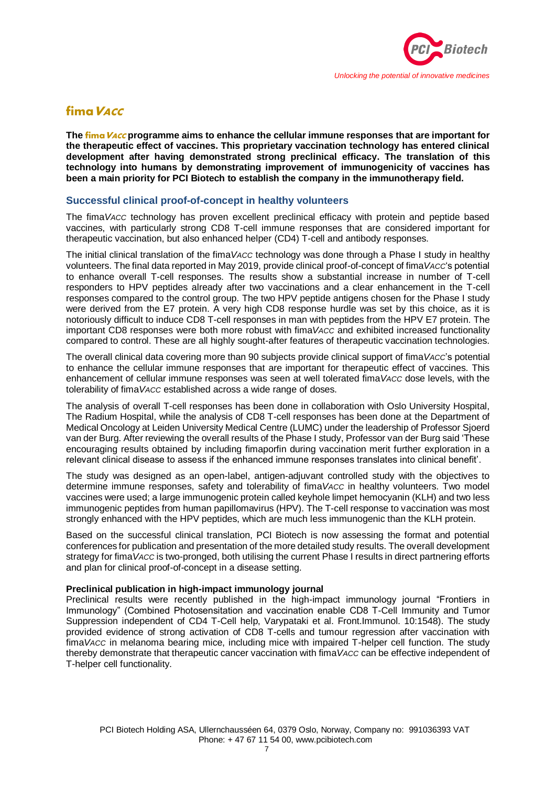

## **fima<sup>V</sup>ACC**

**The fima<sup>V</sup>ACC programme aims to enhance the cellular immune responses that are important for the therapeutic effect of vaccines. This proprietary vaccination technology has entered clinical development after having demonstrated strong preclinical efficacy. The translation of this technology into humans by demonstrating improvement of immunogenicity of vaccines has been a main priority for PCI Biotech to establish the company in the immunotherapy field.**

## **Successful clinical proof-of-concept in healthy volunteers**

The fima*VACC* technology has proven excellent preclinical efficacy with protein and peptide based vaccines, with particularly strong CD8 T-cell immune responses that are considered important for therapeutic vaccination, but also enhanced helper (CD4) T-cell and antibody responses.

The initial clinical translation of the fima*VACC* technology was done through a Phase I study in healthy volunteers. The final data reported in May 2019, provide clinical proof-of-concept of fima*VACC*'s potential to enhance overall T-cell responses. The results show a substantial increase in number of T-cell responders to HPV peptides already after two vaccinations and a clear enhancement in the T-cell responses compared to the control group. The two HPV peptide antigens chosen for the Phase I study were derived from the E7 protein. A very high CD8 response hurdle was set by this choice, as it is notoriously difficult to induce CD8 T-cell responses in man with peptides from the HPV E7 protein. The important CD8 responses were both more robust with fima*VACC* and exhibited increased functionality compared to control. These are all highly sought-after features of therapeutic vaccination technologies.

The overall clinical data covering more than 90 subjects provide clinical support of fima*VACC*'s potential to enhance the cellular immune responses that are important for therapeutic effect of vaccines. This enhancement of cellular immune responses was seen at well tolerated fima*VACC* dose levels, with the tolerability of fima*VACC* established across a wide range of doses.

The analysis of overall T-cell responses has been done in collaboration with Oslo University Hospital, The Radium Hospital, while the analysis of CD8 T-cell responses has been done at the Department of Medical Oncology at Leiden University Medical Centre (LUMC) under the leadership of Professor Sjoerd van der Burg. After reviewing the overall results of the Phase I study, Professor van der Burg said 'These encouraging results obtained by including fimaporfin during vaccination merit further exploration in a relevant clinical disease to assess if the enhanced immune responses translates into clinical benefit'.

The study was designed as an open-label, antigen-adjuvant controlled study with the objectives to determine immune responses, safety and tolerability of fima*VACC* in healthy volunteers. Two model vaccines were used; a large immunogenic protein called keyhole limpet hemocyanin (KLH) and two less immunogenic peptides from human papillomavirus (HPV). The T-cell response to vaccination was most strongly enhanced with the HPV peptides, which are much less immunogenic than the KLH protein.

Based on the successful clinical translation, PCI Biotech is now assessing the format and potential conferences for publication and presentation of the more detailed study results. The overall development strategy for fima *VACC* is two-pronged, both utilising the current Phase I results in direct partnering efforts and plan for clinical proof-of-concept in a disease setting.

### **Preclinical publication in high-impact immunology journal**

Preclinical results were recently published in the high-impact immunology journal "Frontiers in Immunology" (Combined Photosensitation and vaccination enable CD8 T-Cell Immunity and Tumor Suppression independent of CD4 T-Cell help, Varypataki et al. Front.Immunol. 10:1548). The study provided evidence of strong activation of CD8 T-cells and tumour regression after vaccination with fima*VACC* in melanoma bearing mice, including mice with impaired T-helper cell function. The study thereby demonstrate that therapeutic cancer vaccination with fima*VACC* can be effective independent of T-helper cell functionality.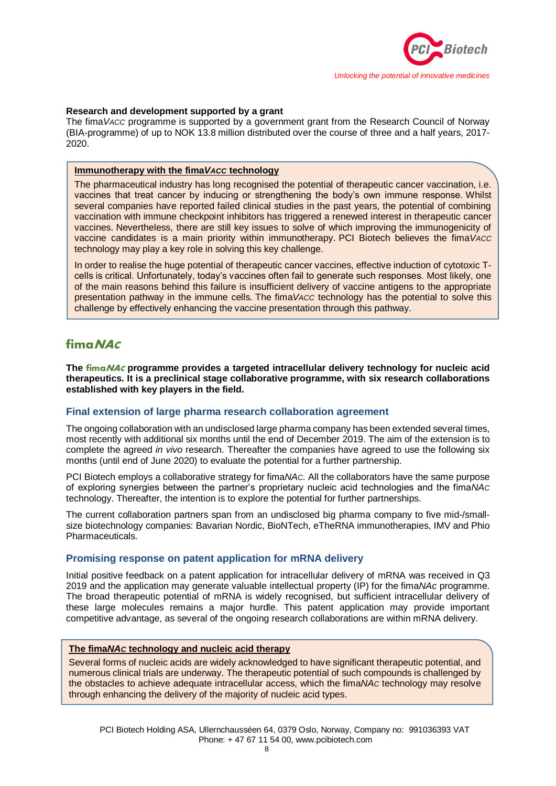

### **Research and development supported by a grant**

The fima*VACC* programme is supported by a government grant from the Research Council of Norway (BIA-programme) of up to NOK 13.8 million distributed over the course of three and a half years, 2017- 2020.

#### **Immunotherapy with the fima***VACC* **technology**

The pharmaceutical industry has long recognised the potential of therapeutic cancer vaccination, i.e. vaccines that treat cancer by inducing or strengthening the body's own immune response. Whilst several companies have reported failed clinical studies in the past years, the potential of combining vaccination with immune checkpoint inhibitors has triggered a renewed interest in therapeutic cancer vaccines. Nevertheless, there are still key issues to solve of which improving the immunogenicity of vaccine candidates is a main priority within immunotherapy. PCI Biotech believes the fima*VACC* technology may play a key role in solving this key challenge.

In order to realise the huge potential of therapeutic cancer vaccines, effective induction of cytotoxic Tcells is critical. Unfortunately, today's vaccines often fail to generate such responses. Most likely, one of the main reasons behind this failure is insufficient delivery of vaccine antigens to the appropriate presentation pathway in the immune cells. The fima*VACC* technology has the potential to solve this challenge by effectively enhancing the vaccine presentation through this pathway.

## **fimaNA<sup>C</sup>**

**The fimaNA<sup>C</sup> programme provides a targeted intracellular delivery technology for nucleic acid therapeutics. It is a preclinical stage collaborative programme, with six research collaborations established with key players in the field.**

## **Final extension of large pharma research collaboration agreement**

The ongoing collaboration with an undisclosed large pharma company has been extended several times, most recently with additional six months until the end of December 2019. The aim of the extension is to complete the agreed *in vivo* research. Thereafter the companies have agreed to use the following six months (until end of June 2020) to evaluate the potential for a further partnership.

PCI Biotech employs a collaborative strategy for fima*NAC.* All the collaborators have the same purpose of exploring synergies between the partner's proprietary nucleic acid technologies and the fima*NAC* technology. Thereafter, the intention is to explore the potential for further partnerships.

The current collaboration partners span from an undisclosed big pharma company to five mid-/smallsize biotechnology companies: Bavarian Nordic, BioNTech, eTheRNA immunotherapies, IMV and Phio Pharmaceuticals.

### **Promising response on patent application for mRNA delivery**

Initial positive feedback on a patent application for intracellular delivery of mRNA was received in Q3 2019 and the application may generate valuable intellectual property (IP) for the fima*NAc* programme. The broad therapeutic potential of mRNA is widely recognised, but sufficient intracellular delivery of these large molecules remains a major hurdle. This patent application may provide important competitive advantage, as several of the ongoing research collaborations are within mRNA delivery.

### **The fima***NAC* **technology and nucleic acid therapy**

Several forms of nucleic acids are widely acknowledged to have significant therapeutic potential, and numerous clinical trials are underway. The therapeutic potential of such compounds is challenged by the obstacles to achieve adequate intracellular access, which the fima*NAC* technology may resolve through enhancing the delivery of the majority of nucleic acid types.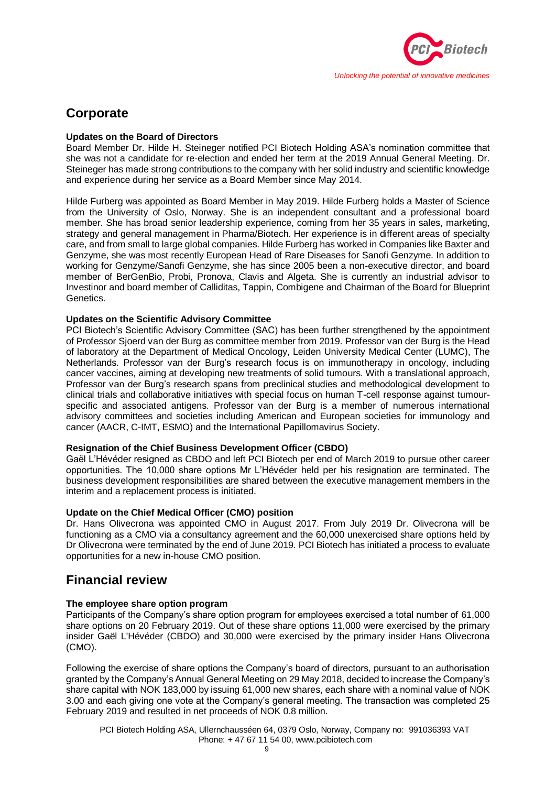

## **Corporate**

## **Updates on the Board of Directors**

Board Member Dr. Hilde H. Steineger notified PCI Biotech Holding ASA's nomination committee that she was not a candidate for re-election and ended her term at the 2019 Annual General Meeting. Dr. Steineger has made strong contributions to the company with her solid industry and scientific knowledge and experience during her service as a Board Member since May 2014.

Hilde Furberg was appointed as Board Member in May 2019. Hilde Furberg holds a Master of Science from the University of Oslo, Norway. She is an independent consultant and a professional board member. She has broad senior leadership experience, coming from her 35 years in sales, marketing, strategy and general management in Pharma/Biotech. Her experience is in different areas of specialty care, and from small to large global companies. Hilde Furberg has worked in Companies like Baxter and Genzyme, she was most recently European Head of Rare Diseases for Sanofi Genzyme. In addition to working for Genzyme/Sanofi Genzyme, she has since 2005 been a non-executive director, and board member of BerGenBio, Probi, Pronova, Clavis and Algeta. She is currently an industrial advisor to Investinor and board member of Calliditas, Tappin, Combigene and Chairman of the Board for Blueprint Genetics.

## **Updates on the Scientific Advisory Committee**

PCI Biotech's Scientific Advisory Committee (SAC) has been further strengthened by the appointment of Professor Sjoerd van der Burg as committee member from 2019. Professor van der Burg is the Head of laboratory at the Department of Medical Oncology, Leiden University Medical Center (LUMC), The Netherlands. Professor van der Burg's research focus is on immunotherapy in oncology, including cancer vaccines, aiming at developing new treatments of solid tumours. With a translational approach, Professor van der Burg's research spans from preclinical studies and methodological development to clinical trials and collaborative initiatives with special focus on human T-cell response against tumourspecific and associated antigens. Professor van der Burg is a member of numerous international advisory committees and societies including American and European societies for immunology and cancer (AACR, C-IMT, ESMO) and the International Papillomavirus Society.

## **Resignation of the Chief Business Development Officer (CBDO)**

Gaël L'Hévéder resigned as CBDO and left PCI Biotech per end of March 2019 to pursue other career opportunities. The 10,000 share options Mr L'Hévéder held per his resignation are terminated. The business development responsibilities are shared between the executive management members in the interim and a replacement process is initiated.

## **Update on the Chief Medical Officer (CMO) position**

Dr. Hans Olivecrona was appointed CMO in August 2017. From July 2019 Dr. Olivecrona will be functioning as a CMO via a consultancy agreement and the 60,000 unexercised share options held by Dr Olivecrona were terminated by the end of June 2019. PCI Biotech has initiated a process to evaluate opportunities for a new in-house CMO position.

## **Financial review**

## **The employee share option program**

Participants of the Company's share option program for employees exercised a total number of 61,000 share options on 20 February 2019. Out of these share options 11,000 were exercised by the primary insider Gaël L'Hévéder (CBDO) and 30,000 were exercised by the primary insider Hans Olivecrona (CMO).

Following the exercise of share options the Company's board of directors, pursuant to an authorisation granted by the Company's Annual General Meeting on 29 May 2018, decided to increase the Company's share capital with NOK 183,000 by issuing 61,000 new shares, each share with a nominal value of NOK 3.00 and each giving one vote at the Company's general meeting. The transaction was completed 25 February 2019 and resulted in net proceeds of NOK 0.8 million.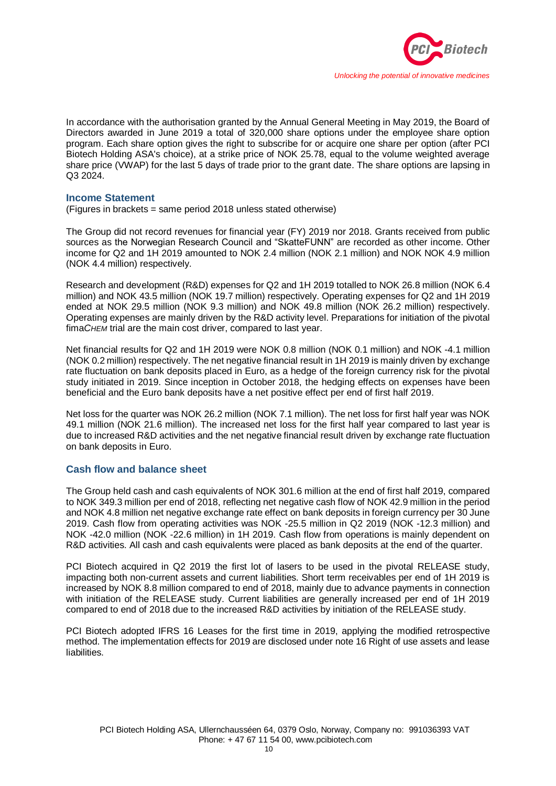

In accordance with the authorisation granted by the Annual General Meeting in May 2019, the Board of Directors awarded in June 2019 a total of 320,000 share options under the employee share option program. Each share option gives the right to subscribe for or acquire one share per option (after PCI Biotech Holding ASA's choice), at a strike price of NOK 25.78, equal to the volume weighted average share price (VWAP) for the last 5 days of trade prior to the grant date. The share options are lapsing in Q3 2024.

### **Income Statement**

(Figures in brackets = same period 2018 unless stated otherwise)

The Group did not record revenues for financial year (FY) 2019 nor 2018. Grants received from public sources as the Norwegian Research Council and "SkatteFUNN" are recorded as other income. Other income for Q2 and 1H 2019 amounted to NOK 2.4 million (NOK 2.1 million) and NOK NOK 4.9 million (NOK 4.4 million) respectively.

Research and development (R&D) expenses for Q2 and 1H 2019 totalled to NOK 26.8 million (NOK 6.4 million) and NOK 43.5 million (NOK 19.7 million) respectively. Operating expenses for Q2 and 1H 2019 ended at NOK 29.5 million (NOK 9.3 million) and NOK 49.8 million (NOK 26.2 million) respectively. Operating expenses are mainly driven by the R&D activity level. Preparations for initiation of the pivotal fima*CHEM* trial are the main cost driver, compared to last year.

Net financial results for Q2 and 1H 2019 were NOK 0.8 million (NOK 0.1 million) and NOK -4.1 million (NOK 0.2 million) respectively. The net negative financial result in 1H 2019 is mainly driven by exchange rate fluctuation on bank deposits placed in Euro, as a hedge of the foreign currency risk for the pivotal study initiated in 2019. Since inception in October 2018, the hedging effects on expenses have been beneficial and the Euro bank deposits have a net positive effect per end of first half 2019.

Net loss for the quarter was NOK 26.2 million (NOK 7.1 million). The net loss for first half year was NOK 49.1 million (NOK 21.6 million). The increased net loss for the first half year compared to last year is due to increased R&D activities and the net negative financial result driven by exchange rate fluctuation on bank deposits in Euro.

## **Cash flow and balance sheet**

The Group held cash and cash equivalents of NOK 301.6 million at the end of first half 2019, compared to NOK 349.3 million per end of 2018, reflecting net negative cash flow of NOK 42.9 million in the period and NOK 4.8 million net negative exchange rate effect on bank deposits in foreign currency per 30 June 2019. Cash flow from operating activities was NOK -25.5 million in Q2 2019 (NOK -12.3 million) and NOK -42.0 million (NOK -22.6 million) in 1H 2019. Cash flow from operations is mainly dependent on R&D activities. All cash and cash equivalents were placed as bank deposits at the end of the quarter.

PCI Biotech acquired in Q2 2019 the first lot of lasers to be used in the pivotal RELEASE study, impacting both non-current assets and current liabilities. Short term receivables per end of 1H 2019 is increased by NOK 8.8 million compared to end of 2018, mainly due to advance payments in connection with initiation of the RELEASE study. Current liabilities are generally increased per end of 1H 2019 compared to end of 2018 due to the increased R&D activities by initiation of the RELEASE study.

PCI Biotech adopted IFRS 16 Leases for the first time in 2019, applying the modified retrospective method. The implementation effects for 2019 are disclosed under note 16 Right of use assets and lease **liabilities**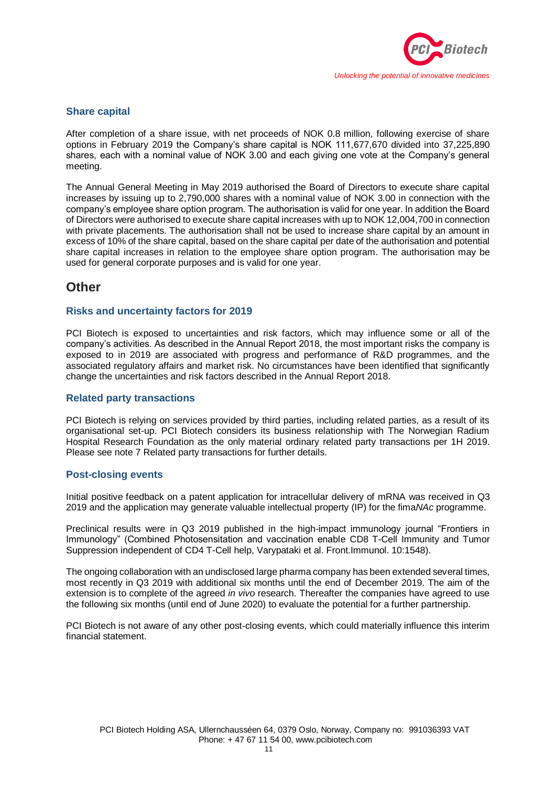

## **Share capital**

After completion of a share issue, with net proceeds of NOK 0.8 million, following exercise of share options in February 2019 the Company's share capital is NOK 111,677,670 divided into 37,225,890 shares, each with a nominal value of NOK 3.00 and each giving one vote at the Company's general meeting.

The Annual General Meeting in May 2019 authorised the Board of Directors to execute share capital increases by issuing up to 2,790,000 shares with a nominal value of NOK 3.00 in connection with the company's employee share option program. The authorisation is valid for one year. In addition the Board of Directors were authorised to execute share capital increases with up to NOK 12,004,700 in connection with private placements. The authorisation shall not be used to increase share capital by an amount in excess of 10% of the share capital, based on the share capital per date of the authorisation and potential share capital increases in relation to the employee share option program. The authorisation may be used for general corporate purposes and is valid for one year.

## **Other**

## **Risks and uncertainty factors for 2019**

PCI Biotech is exposed to uncertainties and risk factors, which may influence some or all of the company's activities. As described in the Annual Report 2018, the most important risks the company is exposed to in 2019 are associated with progress and performance of R&D programmes, and the associated regulatory affairs and market risk. No circumstances have been identified that significantly change the uncertainties and risk factors described in the Annual Report 2018.

### **Related party transactions**

PCI Biotech is relying on services provided by third parties, including related parties, as a result of its organisational set-up. PCI Biotech considers its business relationship with The Norwegian Radium Hospital Research Foundation as the only material ordinary related party transactions per 1H 2019. Please see note 7 Related party transactions for further details.

## **Post-closing events**

Initial positive feedback on a patent application for intracellular delivery of mRNA was received in Q3 2019 and the application may generate valuable intellectual property (IP) for the fima*NAc* programme.

Preclinical results were in Q3 2019 published in the high-impact immunology journal "Frontiers in Immunology" (Combined Photosensitation and vaccination enable CD8 T-Cell Immunity and Tumor Suppression independent of CD4 T-Cell help, Varypataki et al. Front.Immunol. 10:1548).

The ongoing collaboration with an undisclosed large pharma company has been extended several times, most recently in Q3 2019 with additional six months until the end of December 2019. The aim of the extension is to complete of the agreed *in vivo* research. Thereafter the companies have agreed to use the following six months (until end of June 2020) to evaluate the potential for a further partnership.

PCI Biotech is not aware of any other post-closing events, which could materially influence this interim financial statement.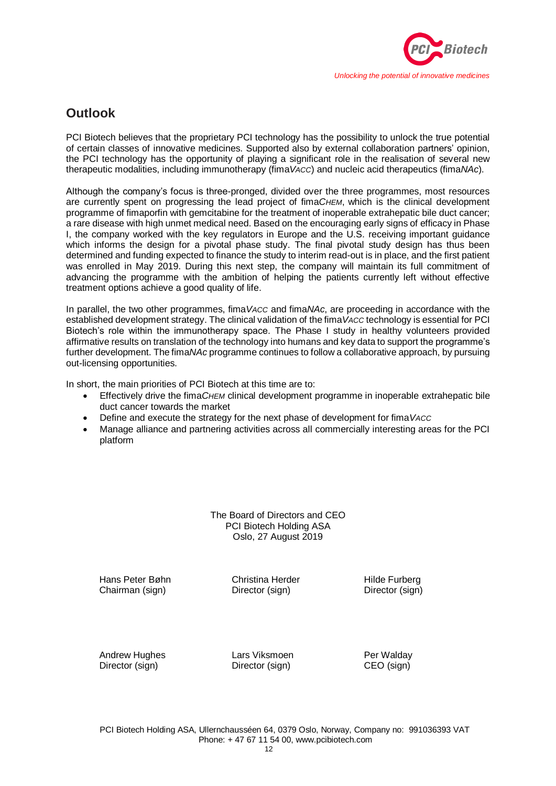

## **Outlook**

PCI Biotech believes that the proprietary PCI technology has the possibility to unlock the true potential of certain classes of innovative medicines. Supported also by external collaboration partners' opinion, the PCI technology has the opportunity of playing a significant role in the realisation of several new therapeutic modalities, including immunotherapy (fima*VACC*) and nucleic acid therapeutics (fima*NAc*).

Although the company's focus is three-pronged, divided over the three programmes, most resources are currently spent on progressing the lead project of fima*CHEM*, which is the clinical development programme of fimaporfin with gemcitabine for the treatment of inoperable extrahepatic bile duct cancer; a rare disease with high unmet medical need. Based on the encouraging early signs of efficacy in Phase I, the company worked with the key regulators in Europe and the U.S. receiving important guidance which informs the design for a pivotal phase study. The final pivotal study design has thus been determined and funding expected to finance the study to interim read-out is in place, and the first patient was enrolled in May 2019. During this next step, the company will maintain its full commitment of advancing the programme with the ambition of helping the patients currently left without effective treatment options achieve a good quality of life.

In parallel, the two other programmes, fima*VACC* and fima*NAc*, are proceeding in accordance with the established development strategy. The clinical validation of the fima*VACC* technology is essential for PCI Biotech's role within the immunotherapy space. The Phase I study in healthy volunteers provided affirmative results on translation of the technology into humans and key data to support the programme's further development. The fima*NAc* programme continues to follow a collaborative approach, by pursuing out-licensing opportunities.

In short, the main priorities of PCI Biotech at this time are to:

- Effectively drive the fima*CHEM* clinical development programme in inoperable extrahepatic bile duct cancer towards the market
- Define and execute the strategy for the next phase of development for fima*VACC*
- Manage alliance and partnering activities across all commercially interesting areas for the PCI platform

The Board of Directors and CEO PCI Biotech Holding ASA Oslo, 27 August 2019

Hans Peter Bøhn Christina Herder Hilde Furberg Chairman (sign) Director (sign) Director (sign)

Andrew Hughes **Lars Viksmoen** Per Walday Director (sign) Director (sign) CEO (sign)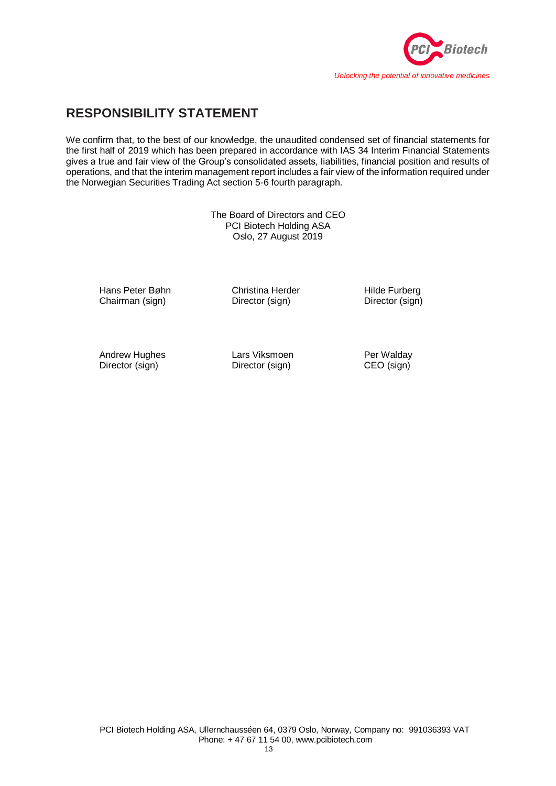

## **RESPONSIBILITY STATEMENT**

We confirm that, to the best of our knowledge, the unaudited condensed set of financial statements for the first half of 2019 which has been prepared in accordance with IAS 34 Interim Financial Statements gives a true and fair view of the Group's consolidated assets, liabilities, financial position and results of operations, and that the interim management report includes a fair view of the information required under the Norwegian Securities Trading Act section 5-6 fourth paragraph.

> The Board of Directors and CEO PCI Biotech Holding ASA Oslo, 27 August 2019

Hans Peter Bøhn Christina Herder Hilde Furberg Chairman (sign) Director (sign) Director (sign)

Andrew Hughes **Lars Viksmoen** Per Walday Director (sign) Director (sign) CEO (sign)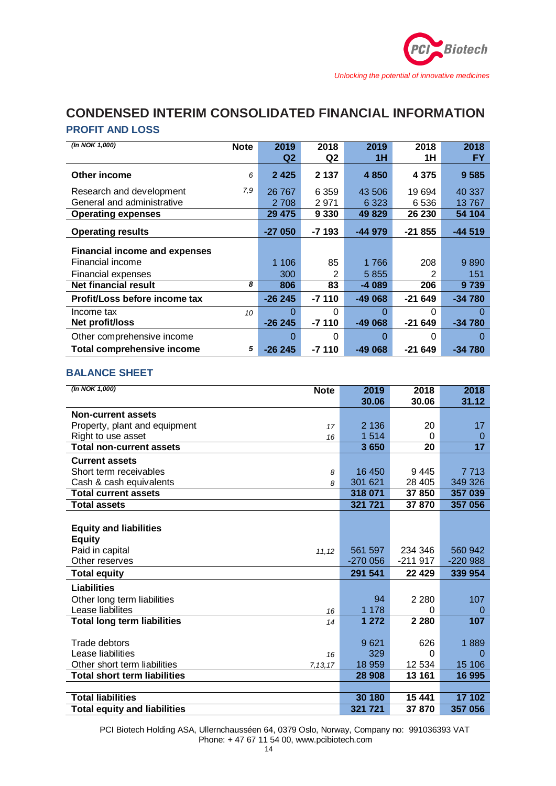

## **CONDENSED INTERIM CONSOLIDATED FINANCIAL INFORMATION PROFIT AND LOSS**

| (In NOK 1,000)                       | <b>Note</b> | 2019           | 2018           | 2019     | 2018     | 2018     |
|--------------------------------------|-------------|----------------|----------------|----------|----------|----------|
|                                      |             | Q <sub>2</sub> | Q <sub>2</sub> | 1H       | 1Н       | FY       |
| Other income                         | 6           | 2425           | 2 1 3 7        | 4 8 5 0  | 4 3 7 5  | 9585     |
| Research and development             | 7,9         | 26 767         | 6 3 5 9        | 43 506   | 19 694   | 40 337   |
| General and administrative           |             | 2 708          | 2971           | 6 3 2 3  | 6 536    | 13767    |
| <b>Operating expenses</b>            |             | 29 475         | 9 3 3 0        | 49 829   | 26 230   | 54 104   |
| <b>Operating results</b>             |             | $-27050$       | -7 193         | $-44979$ | $-21855$ | -44 519  |
| <b>Financial income and expenses</b> |             |                |                |          |          |          |
| Financial income                     |             | 1 106          | 85             | 1766     | 208      | 9890     |
| Financial expenses                   |             | 300            | 2              | 5 8 5 5  | 2        | 151      |
| <b>Net financial result</b>          | 8           | 806            | 83             | -4 089   | 206      | 9 7 3 9  |
| Profit/Loss before income tax        |             | $-26245$       | -7 110         | $-49068$ | $-21649$ | -34 780  |
| Income tax                           | 10          | 0              | $\Omega$       | 0        | O        |          |
| Net profit/loss                      |             | $-26245$       | -7 110         | $-49068$ | $-21649$ | $-34780$ |
| Other comprehensive income           |             | 0              | 0              | 0        | 0        | $\Omega$ |
| Total comprehensive income           | 5           | $-26245$       | $-7110$        | -49 068  | $-21649$ | -34 780  |

## **BALANCE SHEET**

| (In NOK 1,000)                            | <b>Note</b> | 2019      | 2018            | 2018            |
|-------------------------------------------|-------------|-----------|-----------------|-----------------|
|                                           |             | 30.06     | 30.06           | 31.12           |
| <b>Non-current assets</b>                 |             |           |                 |                 |
| Property, plant and equipment             | 17          | 2 1 3 6   | 20              | 17              |
| Right to use asset                        | 16          | 1514      | 0               | 0               |
| <b>Total non-current assets</b>           |             | 3 6 5 0   | $\overline{20}$ | $\overline{17}$ |
| <b>Current assets</b>                     |             |           |                 |                 |
| Short term receivables                    | 8           | 16 450    | 9445            | 7 7 1 3         |
| Cash & cash equivalents                   | 8           | 301 621   | 28 405          | 349 326         |
| <b>Total current assets</b>               |             | 318 071   | 37850           | 357 039         |
| <b>Total assets</b>                       |             | 321 721   | 37870           | 357 056         |
|                                           |             |           |                 |                 |
| <b>Equity and liabilities</b>             |             |           |                 |                 |
| <b>Equity</b>                             |             |           |                 |                 |
| Paid in capital                           | 11,12       | 561 597   | 234 346         | 560 942         |
| Other reserves                            |             | $-270056$ | $-211917$       | $-220988$       |
| <b>Total equity</b>                       |             | 291 541   | 22 4 29         | 339 954         |
| <b>Liabilities</b>                        |             |           |                 |                 |
| Other long term liabilities               |             | 94        | 2 2 8 0         | 107             |
| Lease liabilites                          | 16          | 1 1 7 8   | Ω               | 0               |
| <b>Total long term liabilities</b>        | 14          | 1272      | 2 2 8 0         | 107             |
|                                           |             |           |                 |                 |
| Trade debtors                             |             | 9621      | 626             | 1889            |
| Lease liabilities                         | 16          | 329       | 0               | $\Omega$        |
| Other short term liabilities<br>7, 13, 17 |             | 18 959    | 12 534          | 15 106          |
| <b>Total short term liabilities</b>       |             | 28 908    | 13 161          | 16 995          |
|                                           |             |           |                 |                 |
| <b>Total liabilities</b>                  |             | 30 180    | 15 441          | 17 102          |
| <b>Total equity and liabilities</b>       |             | 321 721   | 37870           | 357 056         |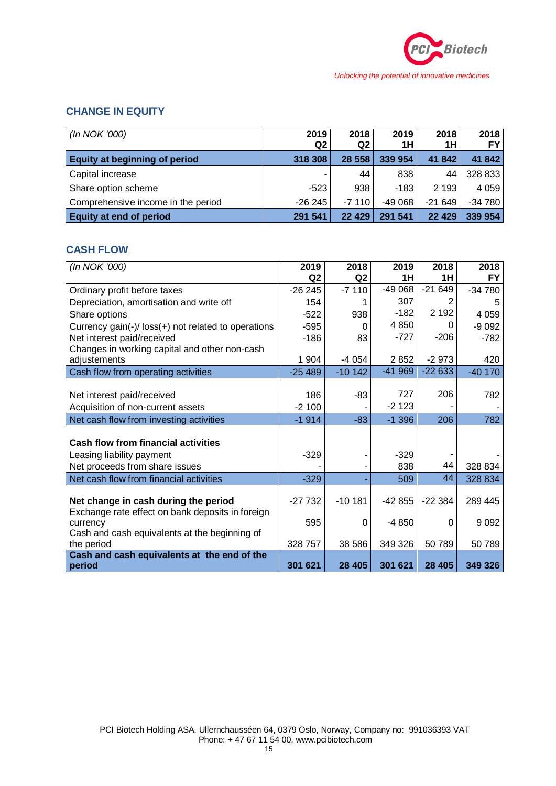

## **CHANGE IN EQUITY**

| (In NOK '000)                        | 2019<br>Q <sub>2</sub> | 2018<br>Q <sub>2</sub> | 2019<br>1H | 2018<br>1Н | 2018<br>FY |
|--------------------------------------|------------------------|------------------------|------------|------------|------------|
| <b>Equity at beginning of period</b> | 318 308                | 28 558                 | 339 954    | 41 842     | 41 842     |
| Capital increase                     | ۰                      | 44                     | 838        | 44         | 328 833    |
| Share option scheme                  | $-523$                 | 938                    | $-183$     | 2 1 9 3    | 4 0 5 9    |
| Comprehensive income in the period   | $-26245$               | $-7110$                | $-49068$   | $-21649$   | $-34780$   |
| <b>Equity at end of period</b>       | 291 541                | 22 4 29                | 291 541    | 22 4 29    | 339 954    |

## **CASH FLOW**

| (ln NOK'000)                                          | 2019     | 2018           | 2019     | 2018     | 2018      |
|-------------------------------------------------------|----------|----------------|----------|----------|-----------|
|                                                       | Q2       | Q <sub>2</sub> | 1H       | 1Н       | <b>FY</b> |
| Ordinary profit before taxes                          | $-26245$ | $-7110$        | -49 068  | $-21649$ | $-34780$  |
| Depreciation, amortisation and write off              | 154      |                | 307      | 2        | 5         |
| Share options                                         | $-522$   | 938            | $-182$   | 2 1 9 2  | 4 0 5 9   |
| Currency gain(-)/loss(+) not related to operations    | $-595$   | 0              | 4 8 5 0  | 0        | $-9092$   |
| Net interest paid/received                            | $-186$   | 83             | $-727$   | $-206$   | $-782$    |
| Changes in working capital and other non-cash         |          |                |          |          |           |
| adjustements                                          | 1 904    | -4 054         | 2852     | $-2973$  | 420       |
| Cash flow from operating activities                   | $-25489$ | $-10142$       | $-41969$ | $-22633$ | $-40170$  |
|                                                       |          |                |          |          |           |
| Net interest paid/received                            | 186      | -83            | 727      | 206      | 782       |
| Acquisition of non-current assets                     | $-2100$  |                | $-2123$  |          |           |
| Net cash flow from investing activities               | $-1914$  | $-83$          | $-1.396$ | 206      | 782       |
|                                                       |          |                |          |          |           |
| <b>Cash flow from financial activities</b>            |          |                |          |          |           |
| Leasing liability payment                             | $-329$   |                | $-329$   |          |           |
| Net proceeds from share issues                        |          |                | 838      | 44       | 328 834   |
| Net cash flow from financial activities               | $-329$   |                | 509      | 44       | 328 834   |
|                                                       |          |                |          |          |           |
| Net change in cash during the period                  | $-27732$ | $-10181$       | -42 855  | $-22384$ | 289 445   |
| Exchange rate effect on bank deposits in foreign      |          |                |          |          |           |
| currency                                              | 595      | 0              | $-4850$  | $\Omega$ | 9 0 9 2   |
| Cash and cash equivalents at the beginning of         |          |                |          |          |           |
| the period                                            | 328 757  | 38 586         | 349 326  | 50 789   | 50789     |
| Cash and cash equivalents at the end of the<br>period | 301 621  | 28 4 05        | 301 621  | 28 4 05  | 349 326   |
|                                                       |          |                |          |          |           |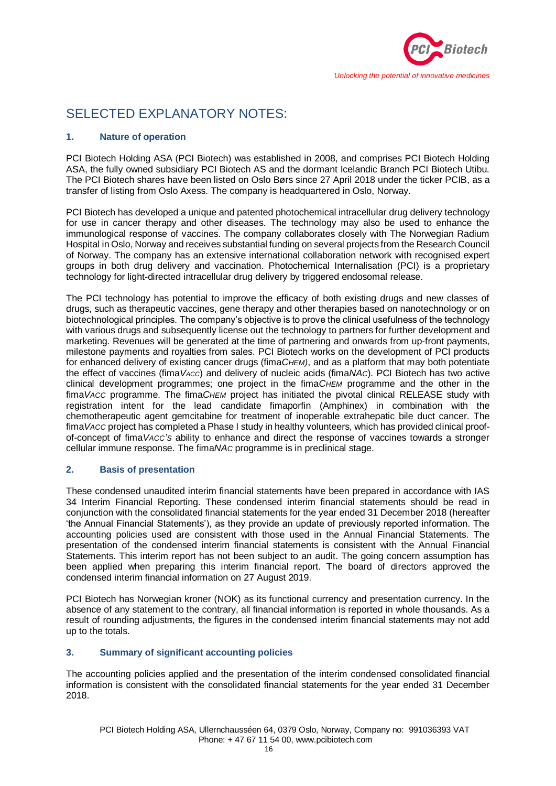

## SELECTED EXPLANATORY NOTES:

## **1. Nature of operation**

PCI Biotech Holding ASA (PCI Biotech) was established in 2008, and comprises PCI Biotech Holding ASA, the fully owned subsidiary PCI Biotech AS and the dormant Icelandic Branch PCI Biotech Utibu. The PCI Biotech shares have been listed on Oslo Børs since 27 April 2018 under the ticker PCIB, as a transfer of listing from Oslo Axess. The company is headquartered in Oslo, Norway.

PCI Biotech has developed a unique and patented photochemical intracellular drug delivery technology for use in cancer therapy and other diseases. The technology may also be used to enhance the immunological response of vaccines. The company collaborates closely with The Norwegian Radium Hospital in Oslo, Norway and receives substantial funding on several projects from the Research Council of Norway. The company has an extensive international collaboration network with recognised expert groups in both drug delivery and vaccination. Photochemical Internalisation (PCI) is a proprietary technology for light-directed intracellular drug delivery by triggered endosomal release.

The PCI technology has potential to improve the efficacy of both existing drugs and new classes of drugs, such as therapeutic vaccines, gene therapy and other therapies based on nanotechnology or on biotechnological principles. The company's objective is to prove the clinical usefulness of the technology with various drugs and subsequently license out the technology to partners for further development and marketing. Revenues will be generated at the time of partnering and onwards from up-front payments, milestone payments and royalties from sales. PCI Biotech works on the development of PCI products for enhanced delivery of existing cancer drugs (fima*CHEM)*, and as a platform that may both potentiate the effect of vaccines (fima*VACC*) and delivery of nucleic acids (fima*NAC*). PCI Biotech has two active clinical development programmes; one project in the fima*CHEM* programme and the other in the fima*VACC* programme. The fima*CHEM* project has initiated the pivotal clinical RELEASE study with registration intent for the lead candidate fimaporfin (Amphinex) in combination with the chemotherapeutic agent gemcitabine for treatment of inoperable extrahepatic bile duct cancer. The fima*VACC* project has completed a Phase I study in healthy volunteers, which has provided clinical proofof-concept of fima*VACC'S* ability to enhance and direct the response of vaccines towards a stronger cellular immune response. The fima*NAC* programme is in preclinical stage.

## **2. Basis of presentation**

These condensed unaudited interim financial statements have been prepared in accordance with IAS 34 Interim Financial Reporting. These condensed interim financial statements should be read in conjunction with the consolidated financial statements for the year ended 31 December 2018 (hereafter 'the Annual Financial Statements'), as they provide an update of previously reported information. The accounting policies used are consistent with those used in the Annual Financial Statements. The presentation of the condensed interim financial statements is consistent with the Annual Financial Statements. This interim report has not been subject to an audit. The going concern assumption has been applied when preparing this interim financial report. The board of directors approved the condensed interim financial information on 27 August 2019.

PCI Biotech has Norwegian kroner (NOK) as its functional currency and presentation currency. In the absence of any statement to the contrary, all financial information is reported in whole thousands. As a result of rounding adjustments, the figures in the condensed interim financial statements may not add up to the totals.

## **3. Summary of significant accounting policies**

The accounting policies applied and the presentation of the interim condensed consolidated financial information is consistent with the consolidated financial statements for the year ended 31 December 2018.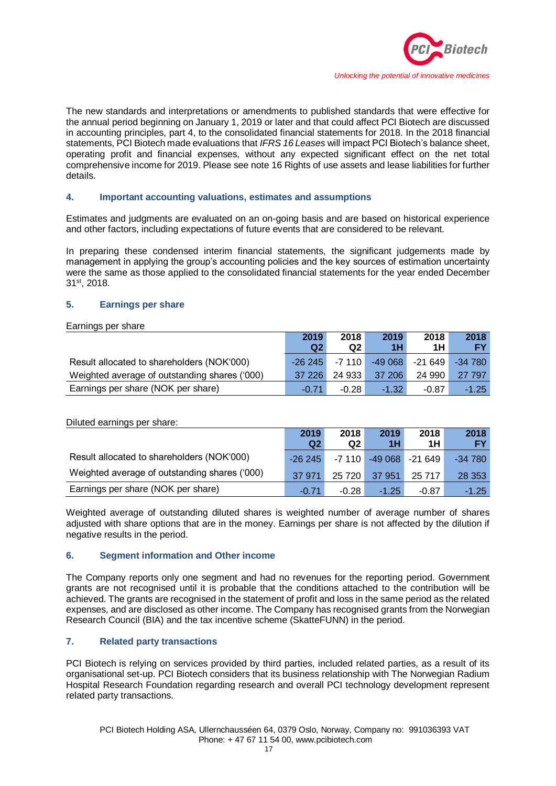

The new standards and interpretations or amendments to published standards that were effective for the annual period beginning on January 1, 2019 or later and that could affect PCI Biotech are discussed in accounting principles, part 4, to the consolidated financial statements for 2018. In the 2018 financial statements, PCI Biotech made evaluations that *IFRS 16 Leases* will impact PCI Biotech's balance sheet, operating profit and financial expenses, without any expected significant effect on the net total comprehensive income for 2019. Please see note 16 Rights of use assets and lease liabilities for further details.

### **4. Important accounting valuations, estimates and assumptions**

Estimates and judgments are evaluated on an on-going basis and are based on historical experience and other factors, including expectations of future events that are considered to be relevant.

In preparing these condensed interim financial statements, the significant judgements made by management in applying the group's accounting policies and the key sources of estimation uncertainty were the same as those applied to the consolidated financial statements for the year ended December 31<sup>st</sup>, 2018.

## **5. Earnings per share**

#### Earnings per share

|                                               | 2019           | 2018                   | 2019     | 2018    | 2018      |
|-----------------------------------------------|----------------|------------------------|----------|---------|-----------|
|                                               | Q <sub>2</sub> | Q <sub>2</sub>         | 1H       | 1H      | <b>FY</b> |
| Result allocated to shareholders (NOK'000)    | $-26, 245$     | $-7110$ $\blacksquare$ | $-49068$ | -21 649 | -34 780   |
| Weighted average of outstanding shares ('000) | 37 226         | 24 933                 | 37 206   | 24 990  | 27 797    |
| Earnings per share (NOK per share)            | $-0.71$        | $-0.28$                | $-1.32$  | -0.87   | $-1.25$   |

Diluted earnings per share:

|                                               | 2019           | 2018           | 2019                    | 2018    | 2018      |
|-----------------------------------------------|----------------|----------------|-------------------------|---------|-----------|
|                                               | Q <sub>2</sub> | Q <sub>2</sub> | 1H                      | 1H      | <b>FY</b> |
| Result allocated to shareholders (NOK'000)    | $-26245$       |                | $-7110 - 49068 - 21649$ |         | $-34780$  |
| Weighted average of outstanding shares ('000) | 37 971         | 25 7 20        | 37951                   | 25 717  | 28 3 53   |
| Earnings per share (NOK per share)            | $-0.71$        | $-0.28$        | $-1.25$                 | $-0.87$ | $-1.25$   |

Weighted average of outstanding diluted shares is weighted number of average number of shares adjusted with share options that are in the money. Earnings per share is not affected by the dilution if negative results in the period.

### **6. Segment information and Other income**

The Company reports only one segment and had no revenues for the reporting period. Government grants are not recognised until it is probable that the conditions attached to the contribution will be achieved. The grants are recognised in the statement of profit and loss in the same period as the related expenses, and are disclosed as other income. The Company has recognised grants from the Norwegian Research Council (BIA) and the tax incentive scheme (SkatteFUNN) in the period.

## **7. Related party transactions**

PCI Biotech is relying on services provided by third parties, included related parties, as a result of its organisational set-up. PCI Biotech considers that its business relationship with The Norwegian Radium Hospital Research Foundation regarding research and overall PCI technology development represent related party transactions.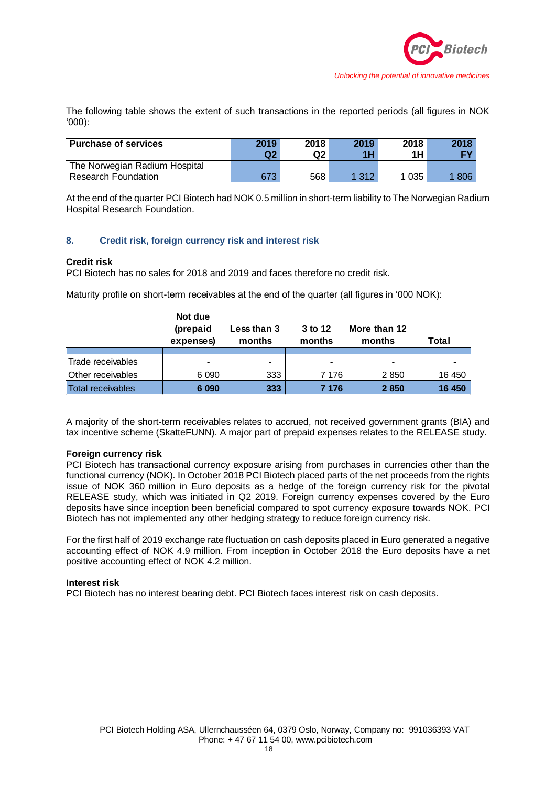

The following table shows the extent of such transactions in the reported periods (all figures in NOK '000):

| <b>Purchase of services</b>                                 | 2019<br>Q2 | 2018<br>Q2 | 2019<br>1H. | 2018<br>1Н | 2018 |
|-------------------------------------------------------------|------------|------------|-------------|------------|------|
| The Norwegian Radium Hospital<br><b>Research Foundation</b> | 673        | 568        | 1 312       | 035        | 806  |

At the end of the quarter PCI Biotech had NOK 0.5 million in short-term liability to The Norwegian Radium Hospital Research Foundation.

### **8. Credit risk, foreign currency risk and interest risk**

### **Credit risk**

PCI Biotech has no sales for 2018 and 2019 and faces therefore no credit risk.

Maturity profile on short-term receivables at the end of the quarter (all figures in '000 NOK):

|                          | Not due<br>(prepaid<br>expenses) | Less than 3<br>months | 3 to 12<br>months | More than 12<br>months | Total  |
|--------------------------|----------------------------------|-----------------------|-------------------|------------------------|--------|
|                          |                                  |                       |                   |                        |        |
| Trade receivables        | ٠                                | $\blacksquare$        | -                 | ٠                      |        |
| Other receivables        | 6 0 9 0                          | 333                   | 7 1 7 6           | 2 8 5 0                | 16 450 |
| <b>Total receivables</b> | 6 0 9 0                          | 333                   | 7 176             | 2850                   | 16 450 |

A majority of the short-term receivables relates to accrued, not received government grants (BIA) and tax incentive scheme (SkatteFUNN). A major part of prepaid expenses relates to the RELEASE study.

### **Foreign currency risk**

PCI Biotech has transactional currency exposure arising from purchases in currencies other than the functional currency (NOK). In October 2018 PCI Biotech placed parts of the net proceeds from the rights issue of NOK 360 million in Euro deposits as a hedge of the foreign currency risk for the pivotal RELEASE study, which was initiated in Q2 2019. Foreign currency expenses covered by the Euro deposits have since inception been beneficial compared to spot currency exposure towards NOK. PCI Biotech has not implemented any other hedging strategy to reduce foreign currency risk.

For the first half of 2019 exchange rate fluctuation on cash deposits placed in Euro generated a negative accounting effect of NOK 4.9 million. From inception in October 2018 the Euro deposits have a net positive accounting effect of NOK 4.2 million.

### **Interest risk**

PCI Biotech has no interest bearing debt. PCI Biotech faces interest risk on cash deposits.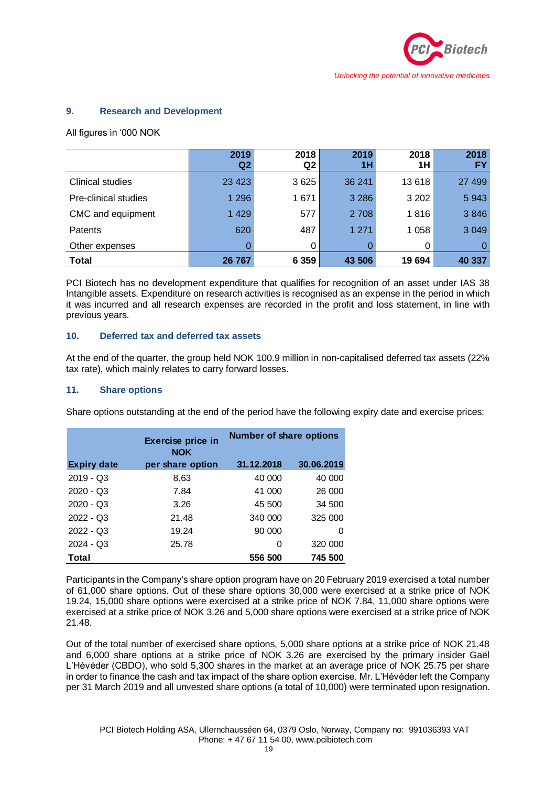

## **9. Research and Development**

All figures in '000 NOK

|                      | 2019<br>Q2 | 2018<br>Q <sub>2</sub> | 2019<br>1H | 2018<br>1H | 2018<br>FY |
|----------------------|------------|------------------------|------------|------------|------------|
| Clinical studies     | 23 4 23    | 3625                   | 36 241     | 13 618     | 27 499     |
| Pre-clinical studies | 1 2 9 6    | 1671                   | 3 2 8 6    | 3 2 0 2    | 5943       |
| CMC and equipment    | 1 4 2 9    | 577                    | 2 7 0 8    | 1816       | 3846       |
| Patents              | 620        | 487                    | 1 2 7 1    | 1 0 5 8    | 3 0 4 9    |
| Other expenses       |            |                        |            |            |            |
| <b>Total</b>         | 26 767     | 6 3 5 9                | 43 506     | 19 694     | 40 337     |

PCI Biotech has no development expenditure that qualifies for recognition of an asset under IAS 38 Intangible assets. Expenditure on research activities is recognised as an expense in the period in which it was incurred and all research expenses are recorded in the profit and loss statement, in line with previous years.

### **10. Deferred tax and deferred tax assets**

At the end of the quarter, the group held NOK 100.9 million in non-capitalised deferred tax assets (22% tax rate), which mainly relates to carry forward losses.

#### **11. Share options**

Share options outstanding at the end of the period have the following expiry date and exercise prices:

|                    | Exercise price in<br><b>NOK</b> | <b>Number of share options</b> |            |
|--------------------|---------------------------------|--------------------------------|------------|
| <b>Expiry date</b> | per share option                | 31.12.2018                     | 30.06.2019 |
| $2019 - Q3$        | 8.63                            | 40 000                         | 40 000     |
| $2020 - Q3$        | 7.84                            | 41 000                         | 26 000     |
| $2020 - Q3$        | 3.26                            | 45 500                         | 34 500     |
| $2022 - Q3$        | 21.48                           | 340 000                        | 325 000    |
| $2022 - Q3$        | 19.24                           | 90 000                         | 0          |
| $2024 - Q3$        | 25.78                           | 0                              | 320 000    |
| Total              |                                 | 556 500                        | 745 500    |

Participants in the Company's share option program have on 20 February 2019 exercised a total number of 61,000 share options. Out of these share options 30,000 were exercised at a strike price of NOK 19.24, 15,000 share options were exercised at a strike price of NOK 7.84, 11,000 share options were exercised at a strike price of NOK 3.26 and 5,000 share options were exercised at a strike price of NOK 21.48.

Out of the total number of exercised share options, 5,000 share options at a strike price of NOK 21.48 and 6,000 share options at a strike price of NOK 3.26 are exercised by the primary insider Gaël L'Hévéder (CBDO), who sold 5,300 shares in the market at an average price of NOK 25.75 per share in order to finance the cash and tax impact of the share option exercise. Mr. L'Hévéder left the Company per 31 March 2019 and all unvested share options (a total of 10,000) were terminated upon resignation.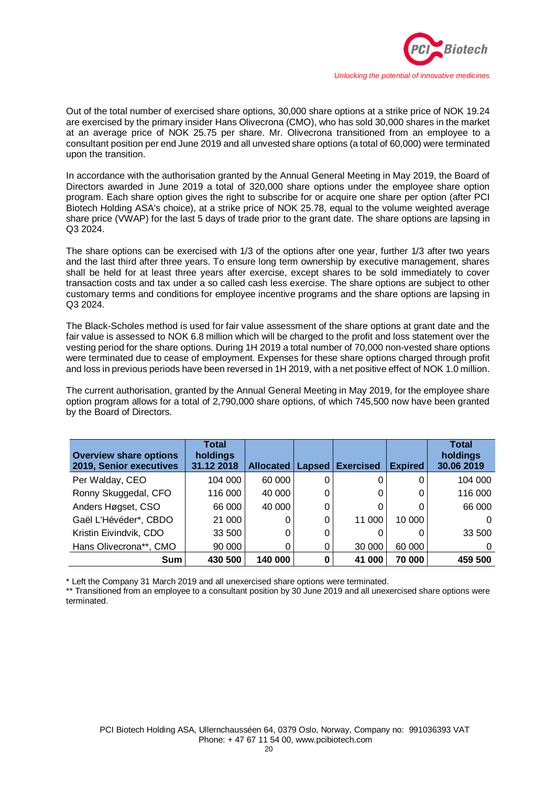

Out of the total number of exercised share options, 30,000 share options at a strike price of NOK 19.24 are exercised by the primary insider Hans Olivecrona (CMO), who has sold 30,000 shares in the market at an average price of NOK 25.75 per share. Mr. Olivecrona transitioned from an employee to a consultant position per end June 2019 and all unvested share options (a total of 60,000) were terminated upon the transition.

In accordance with the authorisation granted by the Annual General Meeting in May 2019, the Board of Directors awarded in June 2019 a total of 320,000 share options under the employee share option program. Each share option gives the right to subscribe for or acquire one share per option (after PCI Biotech Holding ASA's choice), at a strike price of NOK 25.78, equal to the volume weighted average share price (VWAP) for the last 5 days of trade prior to the grant date. The share options are lapsing in Q3 2024.

The share options can be exercised with 1/3 of the options after one year, further 1/3 after two years and the last third after three years. To ensure long term ownership by executive management, shares shall be held for at least three years after exercise, except shares to be sold immediately to cover transaction costs and tax under a so called cash less exercise. The share options are subject to other customary terms and conditions for employee incentive programs and the share options are lapsing in Q3 2024.

The Black-Scholes method is used for fair value assessment of the share options at grant date and the fair value is assessed to NOK 6.8 million which will be charged to the profit and loss statement over the vesting period for the share options. During 1H 2019 a total number of 70,000 non-vested share options were terminated due to cease of employment. Expenses for these share options charged through profit and loss in previous periods have been reversed in 1H 2019, with a net positive effect of NOK 1.0 million.

The current authorisation, granted by the Annual General Meeting in May 2019, for the employee share option program allows for a total of 2,790,000 share options, of which 745,500 now have been granted by the Board of Directors.

| <b>Overview share options</b><br>2019, Senior executives | <b>Total</b><br>holdings<br>31.12 2018 | <b>Allocated</b> | Lapsed   | <b>Exercised</b> | <b>Expired</b> | <b>Total</b><br>holdings<br>30.06 2019 |
|----------------------------------------------------------|----------------------------------------|------------------|----------|------------------|----------------|----------------------------------------|
| Per Walday, CEO                                          | 104 000                                | 60 000           |          |                  |                | 104 000                                |
| Ronny Skuggedal, CFO                                     | 116 000                                | 40 000           |          |                  |                | 116 000                                |
| Anders Høgset, CSO                                       | 66 000                                 | 40 000           |          |                  |                | 66 000                                 |
| Gaël L'Hévéder*, CBDO                                    | 21 000                                 | 0                | $\Omega$ | 11 000           | 10 000         | 0                                      |
| Kristin Eivindvik, CDO                                   | 33 500                                 | 0                |          |                  |                | 33 500                                 |
| Hans Olivecrona**, CMO                                   | 90 000                                 | 0                |          | 30 000           | 60 000         |                                        |
| Sum                                                      | 430 500                                | 140 000          |          | 41 000           | 70 000         | 459 500                                |

\* Left the Company 31 March 2019 and all unexercised share options were terminated.

\*\* Transitioned from an employee to a consultant position by 30 June 2019 and all unexercised share options were terminated.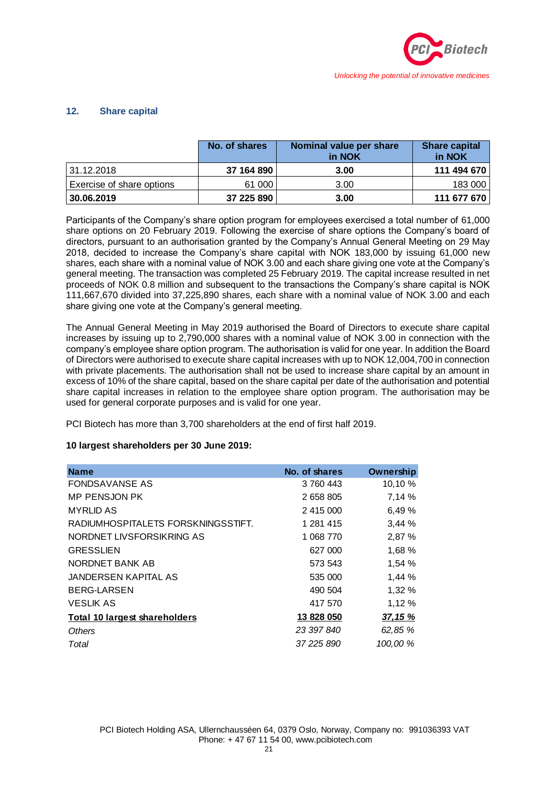

## **12. Share capital**

|                           | No. of shares | Nominal value per share<br>in NOK | <b>Share capital</b><br>in NOK |
|---------------------------|---------------|-----------------------------------|--------------------------------|
| 31.12.2018                | 37 164 890    | 3.00                              | 111 494 670                    |
| Exercise of share options | 61 000        | 3.00                              | 183 000                        |
| 30.06.2019                | 37 225 890    | 3.00                              | 111 677 670                    |

Participants of the Company's share option program for employees exercised a total number of 61,000 share options on 20 February 2019. Following the exercise of share options the Company's board of directors, pursuant to an authorisation granted by the Company's Annual General Meeting on 29 May 2018, decided to increase the Company's share capital with NOK 183,000 by issuing 61,000 new shares, each share with a nominal value of NOK 3.00 and each share giving one vote at the Company's general meeting. The transaction was completed 25 February 2019. The capital increase resulted in net proceeds of NOK 0.8 million and subsequent to the transactions the Company's share capital is NOK 111,667,670 divided into 37,225,890 shares, each share with a nominal value of NOK 3.00 and each share giving one vote at the Company's general meeting.

The Annual General Meeting in May 2019 authorised the Board of Directors to execute share capital increases by issuing up to 2,790,000 shares with a nominal value of NOK 3.00 in connection with the company's employee share option program. The authorisation is valid for one year. In addition the Board of Directors were authorised to execute share capital increases with up to NOK 12,004,700 in connection with private placements. The authorisation shall not be used to increase share capital by an amount in excess of 10% of the share capital, based on the share capital per date of the authorisation and potential share capital increases in relation to the employee share option program. The authorisation may be used for general corporate purposes and is valid for one year.

PCI Biotech has more than 3,700 shareholders at the end of first half 2019.

## **10 largest shareholders per 30 June 2019:**

| <b>Name</b>                          | No. of shares | Ownership |
|--------------------------------------|---------------|-----------|
| <b>FONDSAVANSE AS</b>                | 3 760 443     | 10,10 %   |
| MP PENSJON PK                        | 2 658 805     | 7,14 %    |
| <b>MYRLID AS</b>                     | 2 415 000     | 6,49 %    |
| RADIUMHOSPITALETS FORSKNINGSSTIFT.   | 1 281 415     | 3,44%     |
| NORDNET LIVSFORSIKRING AS            | 1 068 770     | 2,87 %    |
| <b>GRESSLIEN</b>                     | 627 000       | 1,68 %    |
| NORDNET BANK AB                      | 573 543       | 1,54 %    |
| JANDERSEN KAPITAL AS                 | 535 000       | 1.44%     |
| <b>BERG-LARSEN</b>                   | 490 504       | 1,32 %    |
| <b>VESLIK AS</b>                     | 417 570       | 1,12%     |
| <b>Total 10 largest shareholders</b> | 13 828 050    | 37, 15 %  |
| Others                               | 23 397 840    | 62,85 %   |
| Total                                | 37 225 890    | 100,00 %  |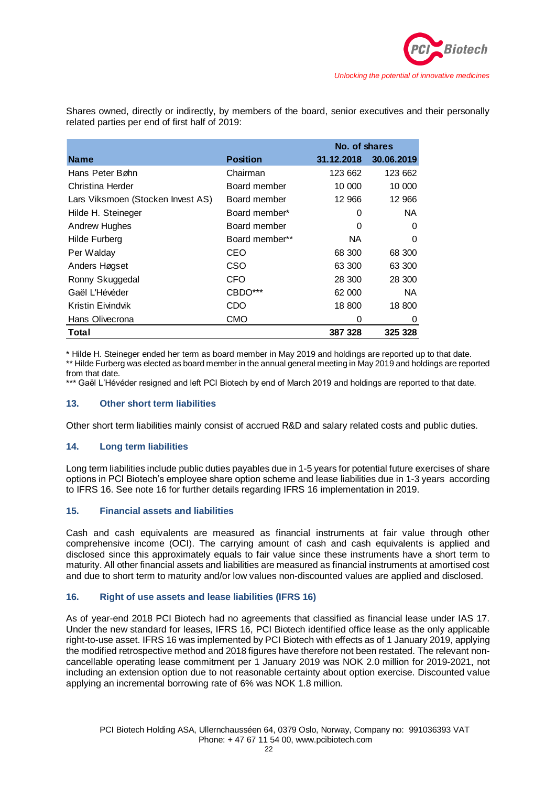

|                                   |                 | No. of shares |            |
|-----------------------------------|-----------------|---------------|------------|
| <b>Name</b>                       | <b>Position</b> | 31.12.2018    | 30.06.2019 |
| Hans Peter Bøhn                   | Chairman        | 123 662       | 123 662    |
| Christina Herder                  | Board member    | 10 000        | 10 000     |
| Lars Viksmoen (Stocken Invest AS) | Board member    | 12 966        | 12 966     |
| Hilde H. Steineger                | Board member*   | 0             | NA.        |
| Andrew Hughes                     | Board member    | ∩             | 0          |
| Hilde Furberg                     | Board member**  | NA.           | 0          |
| Per Walday                        | CEO             | 68 300        | 68 300     |
| Anders Høgset                     | CSO             | 63 300        | 63 300     |
| Ronny Skuggedal                   | <b>CFO</b>      | 28 300        | 28 300     |
| Gaël L'Hévéder                    | CBDO***         | 62 000        | <b>NA</b>  |
| Kristin Eivindvik                 | CDO             | 18 800        | 18 800     |
| Hans Olivecrona                   | CMO             | 0             | 0          |
| Total                             |                 | 387 328       | 325 328    |

Shares owned, directly or indirectly, by members of the board, senior executives and their personally related parties per end of first half of 2019:

\* Hilde H. Steineger ended her term as board member in May 2019 and holdings are reported up to that date. \*\* Hilde Furberg was elected as board member in the annual general meeting in May 2019 and holdings are reported from that date.

\*\*\* Gaël L'Hévéder resigned and left PCI Biotech by end of March 2019 and holdings are reported to that date.

### **13. Other short term liabilities**

Other short term liabilities mainly consist of accrued R&D and salary related costs and public duties.

### **14. Long term liabilities**

Long term liabilities include public duties payables due in 1-5 years for potential future exercises of share options in PCI Biotech's employee share option scheme and lease liabilities due in 1-3 years according to IFRS 16. See note 16 for further details regarding IFRS 16 implementation in 2019.

### **15. Financial assets and liabilities**

Cash and cash equivalents are measured as financial instruments at fair value through other comprehensive income (OCI). The carrying amount of cash and cash equivalents is applied and disclosed since this approximately equals to fair value since these instruments have a short term to maturity. All other financial assets and liabilities are measured as financial instruments at amortised cost and due to short term to maturity and/or low values non-discounted values are applied and disclosed.

### **16. Right of use assets and lease liabilities (IFRS 16)**

As of year-end 2018 PCI Biotech had no agreements that classified as financial lease under IAS 17. Under the new standard for leases, IFRS 16, PCI Biotech identified office lease as the only applicable right-to-use asset. IFRS 16 was implemented by PCI Biotech with effects as of 1 January 2019, applying the modified retrospective method and 2018 figures have therefore not been restated. The relevant noncancellable operating lease commitment per 1 January 2019 was NOK 2.0 million for 2019-2021, not including an extension option due to not reasonable certainty about option exercise. Discounted value applying an incremental borrowing rate of 6% was NOK 1.8 million.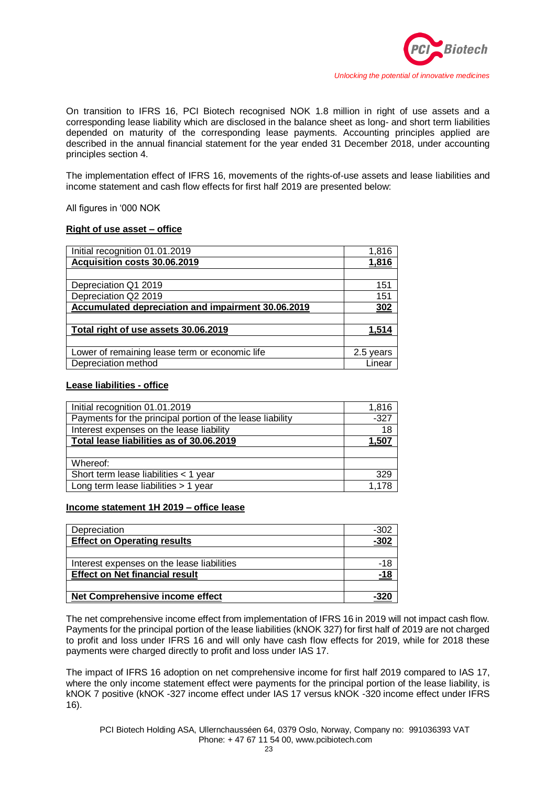

On transition to IFRS 16, PCI Biotech recognised NOK 1.8 million in right of use assets and a corresponding lease liability which are disclosed in the balance sheet as long- and short term liabilities depended on maturity of the corresponding lease payments. Accounting principles applied are described in the annual financial statement for the year ended 31 December 2018, under accounting principles section 4.

The implementation effect of IFRS 16, movements of the rights-of-use assets and lease liabilities and income statement and cash flow effects for first half 2019 are presented below:

### All figures in '000 NOK

### **Right of use asset – office**

| Initial recognition 01.01.2019                     | 1.816              |
|----------------------------------------------------|--------------------|
| Acquisition costs 30.06.2019                       | 1,816              |
|                                                    |                    |
| Depreciation Q1 2019                               | 151                |
| Depreciation Q2 2019                               | 151                |
| Accumulated depreciation and impairment 30.06.2019 | <u>302</u>         |
|                                                    |                    |
| Total right of use assets 30.06.2019               | 1.514              |
|                                                    |                    |
| Lower of remaining lease term or economic life     | 2.5 years          |
| Depreciation method                                | ∟inea <sup>,</sup> |

### **Lease liabilities - office**

| Initial recognition 01.01.2019                            | 1,816  |
|-----------------------------------------------------------|--------|
| Payments for the principal portion of the lease liability | $-327$ |
| Interest expenses on the lease liability                  | 18     |
| Total lease liabilities as of 30.06.2019                  | 1,507  |
|                                                           |        |
| Whereof:                                                  |        |
| Short term lease liabilities < 1 year                     | 329    |
| Long term lease liabilities > 1 year                      |        |

### **Income statement 1H 2019 – office lease**

| Depreciation                               | -302   |
|--------------------------------------------|--------|
| <b>Effect on Operating results</b>         | $-302$ |
|                                            |        |
| Interest expenses on the lease liabilities |        |
| <b>Effect on Net financial result</b>      |        |
|                                            |        |
| Net Comprehensive income effect            |        |

The net comprehensive income effect from implementation of IFRS 16 in 2019 will not impact cash flow. Payments for the principal portion of the lease liabilities (kNOK 327) for first half of 2019 are not charged to profit and loss under IFRS 16 and will only have cash flow effects for 2019, while for 2018 these payments were charged directly to profit and loss under IAS 17.

The impact of IFRS 16 adoption on net comprehensive income for first half 2019 compared to IAS 17, where the only income statement effect were payments for the principal portion of the lease liability, is kNOK 7 positive (kNOK -327 income effect under IAS 17 versus kNOK -320 income effect under IFRS 16).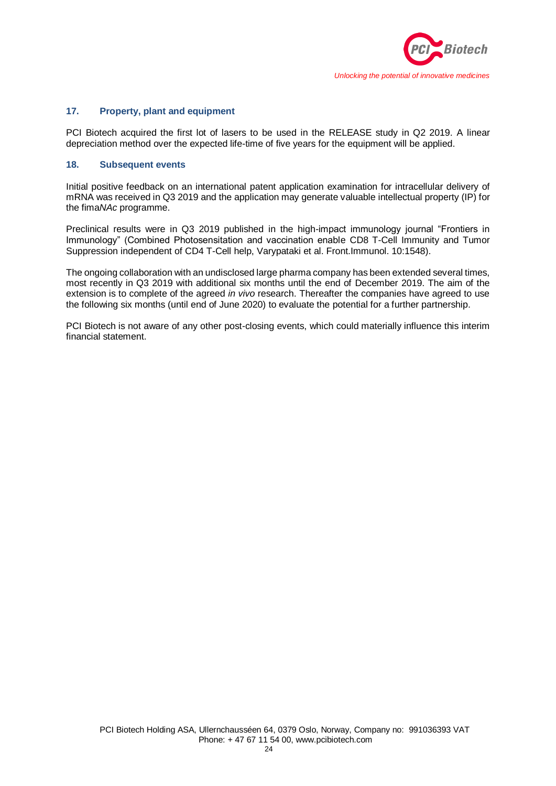

## **17. Property, plant and equipment**

PCI Biotech acquired the first lot of lasers to be used in the RELEASE study in Q2 2019. A linear depreciation method over the expected life-time of five years for the equipment will be applied.

#### **18. Subsequent events**

Initial positive feedback on an international patent application examination for intracellular delivery of mRNA was received in Q3 2019 and the application may generate valuable intellectual property (IP) for the fima*NAc* programme.

Preclinical results were in Q3 2019 published in the high-impact immunology journal "Frontiers in Immunology" (Combined Photosensitation and vaccination enable CD8 T-Cell Immunity and Tumor Suppression independent of CD4 T-Cell help, Varypataki et al. Front.Immunol. 10:1548).

The ongoing collaboration with an undisclosed large pharma company has been extended several times, most recently in Q3 2019 with additional six months until the end of December 2019. The aim of the extension is to complete of the agreed *in vivo* research. Thereafter the companies have agreed to use the following six months (until end of June 2020) to evaluate the potential for a further partnership.

PCI Biotech is not aware of any other post-closing events, which could materially influence this interim financial statement.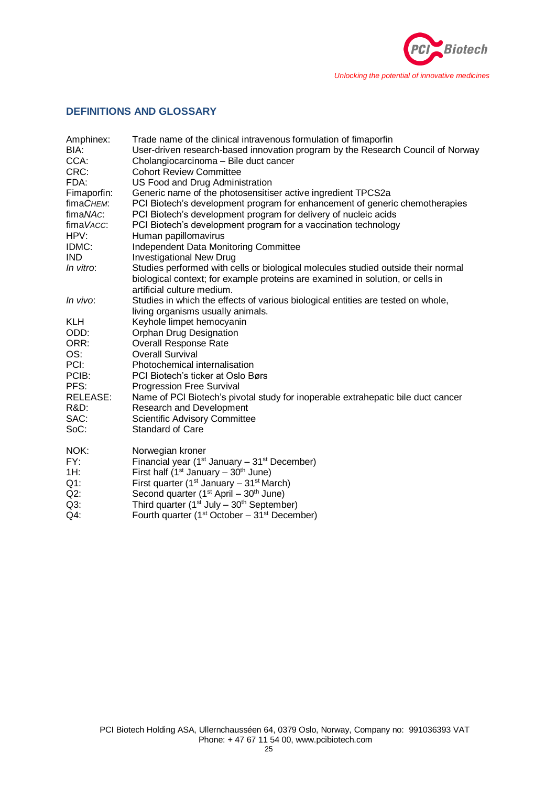

## **DEFINITIONS AND GLOSSARY**

| Amphinex:                                                     | Trade name of the clinical intravenous formulation of fimaporfin                                                                                                                                                                                                                                                                                    |
|---------------------------------------------------------------|-----------------------------------------------------------------------------------------------------------------------------------------------------------------------------------------------------------------------------------------------------------------------------------------------------------------------------------------------------|
| BIA:                                                          | User-driven research-based innovation program by the Research Council of Norway                                                                                                                                                                                                                                                                     |
| CCA:                                                          | Cholangiocarcinoma - Bile duct cancer                                                                                                                                                                                                                                                                                                               |
| CRC:                                                          | <b>Cohort Review Committee</b>                                                                                                                                                                                                                                                                                                                      |
| FDA:                                                          | US Food and Drug Administration                                                                                                                                                                                                                                                                                                                     |
| Fimaporfin:                                                   | Generic name of the photosensitiser active ingredient TPCS2a                                                                                                                                                                                                                                                                                        |
| fimaCHEM:                                                     | PCI Biotech's development program for enhancement of generic chemotherapies                                                                                                                                                                                                                                                                         |
| fimaNAc:                                                      | PCI Biotech's development program for delivery of nucleic acids                                                                                                                                                                                                                                                                                     |
| fimaVACC:                                                     | PCI Biotech's development program for a vaccination technology                                                                                                                                                                                                                                                                                      |
| HPV:                                                          | Human papillomavirus                                                                                                                                                                                                                                                                                                                                |
| IDMC:                                                         | Independent Data Monitoring Committee                                                                                                                                                                                                                                                                                                               |
| <b>IND</b>                                                    | <b>Investigational New Drug</b>                                                                                                                                                                                                                                                                                                                     |
| In vitro:                                                     | Studies performed with cells or biological molecules studied outside their normal<br>biological context; for example proteins are examined in solution, or cells in<br>artificial culture medium.                                                                                                                                                   |
| In vivo:                                                      | Studies in which the effects of various biological entities are tested on whole,<br>living organisms usually animals.                                                                                                                                                                                                                               |
| <b>KLH</b>                                                    | Keyhole limpet hemocyanin                                                                                                                                                                                                                                                                                                                           |
| ODD:                                                          | Orphan Drug Designation                                                                                                                                                                                                                                                                                                                             |
| ORR:                                                          | <b>Overall Response Rate</b>                                                                                                                                                                                                                                                                                                                        |
| OS:                                                           | <b>Overall Survival</b>                                                                                                                                                                                                                                                                                                                             |
| PCI:                                                          | Photochemical internalisation                                                                                                                                                                                                                                                                                                                       |
| PCIB:                                                         | PCI Biotech's ticker at Oslo Børs                                                                                                                                                                                                                                                                                                                   |
| PFS:                                                          | <b>Progression Free Survival</b>                                                                                                                                                                                                                                                                                                                    |
| <b>RELEASE:</b><br><b>R&amp;D:</b><br>SAC:<br>SoC:            | Name of PCI Biotech's pivotal study for inoperable extrahepatic bile duct cancer<br>Research and Development<br><b>Scientific Advisory Committee</b><br><b>Standard of Care</b>                                                                                                                                                                     |
| NOK:<br>FY:<br>$1H$ :<br>$Q1$ :<br>$Q2$ :<br>$Q3$ :<br>$Q4$ : | Norwegian kroner<br>Financial year ( $1st$ January – $31st$ December)<br>First half (1 <sup>st</sup> January – $30th$ June)<br>First quarter ( $1st$ January – $31st$ March)<br>Second quarter (1 <sup>st</sup> April – 30 <sup>th</sup> June)<br>Third quarter $(1st$ July – $30th$ September)<br>Fourth quarter ( $1st October - 31st December$ ) |
|                                                               |                                                                                                                                                                                                                                                                                                                                                     |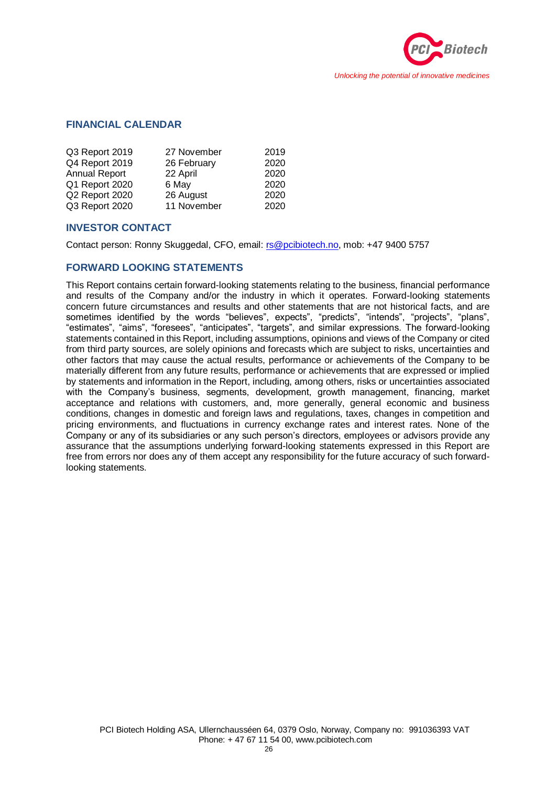

### **FINANCIAL CALENDAR**

| Q3 Report 2019 | 27 November | 2019 |
|----------------|-------------|------|
| Q4 Report 2019 | 26 February | 2020 |
| Annual Report  | 22 April    | 2020 |
| Q1 Report 2020 | 6 May       | 2020 |
| Q2 Report 2020 | 26 August   | 2020 |
| Q3 Report 2020 | 11 November | 2020 |

## **INVESTOR CONTACT**

Contact person: Ronny Skuggedal, CFO, email: [rs@pcibiotech.no,](mailto:rs@pcibiotech.no) mob: +47 9400 5757

## **FORWARD LOOKING STATEMENTS**

This Report contains certain forward-looking statements relating to the business, financial performance and results of the Company and/or the industry in which it operates. Forward-looking statements concern future circumstances and results and other statements that are not historical facts, and are sometimes identified by the words "believes", expects", "predicts", "intends", "projects", "plans", "estimates", "aims", "foresees", "anticipates", "targets", and similar expressions. The forward-looking statements contained in this Report, including assumptions, opinions and views of the Company or cited from third party sources, are solely opinions and forecasts which are subject to risks, uncertainties and other factors that may cause the actual results, performance or achievements of the Company to be materially different from any future results, performance or achievements that are expressed or implied by statements and information in the Report, including, among others, risks or uncertainties associated with the Company's business, segments, development, growth management, financing, market acceptance and relations with customers, and, more generally, general economic and business conditions, changes in domestic and foreign laws and regulations, taxes, changes in competition and pricing environments, and fluctuations in currency exchange rates and interest rates. None of the Company or any of its subsidiaries or any such person's directors, employees or advisors provide any assurance that the assumptions underlying forward-looking statements expressed in this Report are free from errors nor does any of them accept any responsibility for the future accuracy of such forwardlooking statements.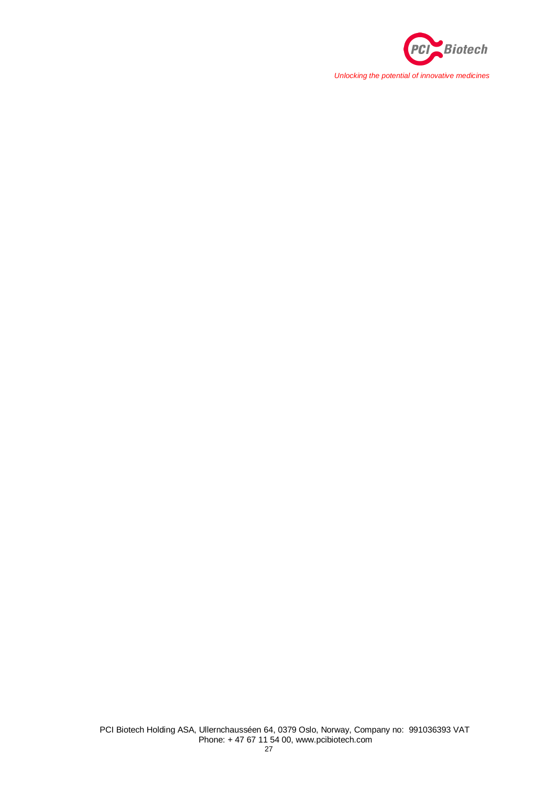